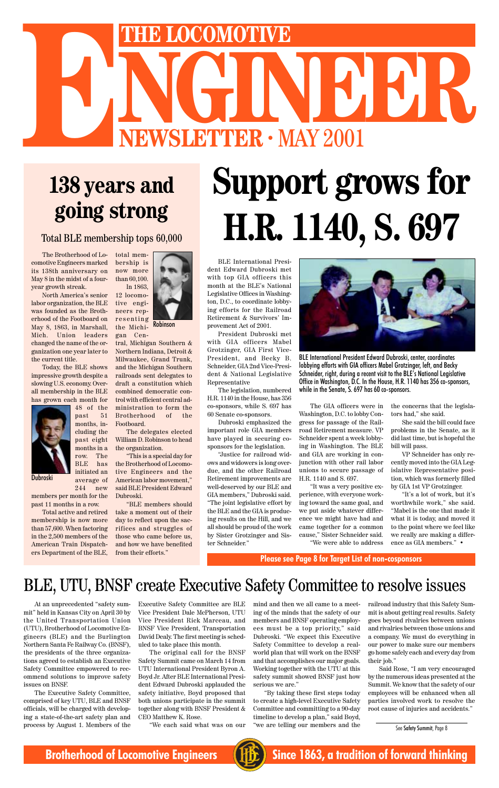The Brotherhood of Locomotive Engineers marked its 138th anniversary on May 8 in the midst of a fouryear growth streak.

North America's senior labor organization, the BLE was founded as the Brotherhood of the Footboard on May 8, 1863, in Marshall, Mich. Union leaders changed the name of the organization one year later to the current title.

Today, the BLE shows impressive growth despite a slowing U.S. economy. Overall membership in the BLE has grown each month for

> 48 of the past 51 months, including the

> months in a row. The BLE has initiated an average of

244 new members per month for the past 11 months in a row.

Total active and retired membership is now more than 57,600. When factoring in the 2,500 members of the American Train Dispatchers Department of the BLE,

# **NEWSLETTER · MAY 2001 ENEXTRE LOCOMOTIVE**<br> **ENEWSLETTER · MAY 2001**

# **138 years and going strong**

#### Total BLE membership tops 60,000

At an unprecedented "safety summit" held in Kansas City on April 30 by the United Transportation Union (UTU), Brotherhood of Locomotive Engineers (BLE) and the Burlington Northern Santa Fe Railway Co. (BNSF), the presidents of the three organizations agreed to establish an Executive Safety Committee empowered to recommend solutions to improve safety issues on BNSF.

past eight The delegates elected William D. Robinson to head the organization.

The Executive Safety Committee, comprised of key UTU, BLE and BNSF officials, will be charged with developing a state-of-the-art safety plan and process by August 1. Members of the

total membership is now more than 60,100. In 1863,

12 locomotive engineers representing the Michi-

gan Cen-

tral, Michigan Southern & Northern Indiana, Detroit & Milwaukee, Grand Trunk, and the Michigan Southern railroads sent delegates to draft a constitution which combined democratic control with efficient central administration to form the Brotherhood of the Footboard.

"This is a special day for the Brotherhood of Locomotive Engineers and the American labor movement," said BLE President Edward Dubroski.

"BLE members should take a moment out of their day to reflect upon the sacrifices and struggles of those who came before us, and how we have benefited from their efforts."

> Executive Safety Committee are BLE Vice President Dale McPherson, UTU Vice President Rick Marceau, and BNSF Vice President, Transportation David Dealy. The first meeting is scheduled to take place this month.

> The original call for the BNSF Safety Summit came on March 14 from UTU International President Byron A. Boyd Jr. After BLE International President Edward Dubroski applauded the safety initiative, Boyd proposed that both unions participate in the summit together along with BNSF President & CEO Matthew K. Rose.

> > "We each said what was on our

mind and then we all came to a meeting of the minds that the safety of our members and BNSF operating employees must be a top priority," said Dubroski. "We expect this Executive Safety Committee to develop a realworld plan that will work on the BNSF and that accomplishes our major goals. Working together with the UTU at this safety summit showed BNSF just how serious we are."

"By taking these first steps today to create a high-level Executive Safety Committee and committing to a 90-day timeline to develop a plan," said Boyd, "we are telling our members and the railroad industry that this Safety Summit is about getting real results. Safety goes beyond rivalries between unions and rivalries between those unions and a company. We must do everything in our power to make sure our members go home safely each and every day from their job."

Said Rose, "I am very encouraged by the numerous ideas presented at the Summit. We know that the safety of our employees will be enhanced when all parties involved work to resolve the root cause of injuries and accidents."

## BLE, UTU, BNSF create Executive Safety Committee to resolve issues





# **Support grows for H.R. 1140, S. 697**

See Safety Summit, Page 8

**Brotherhood of Locomotive Engineers (HE)** Since 1863, a tradition of forward thinking

BLE International President Edward Dubroski met with top GIA officers this month at the BLE's National Legislative Offices in Washington, D.C., to coordinate lobbying efforts for the Railroad Retirement & Survivors' Improvement Act of 2001.

President Dubroski met with GIA officers Mabel Grotzinger, GIA First Vice-President, and Becky B. Schneider, GIA 2nd Vice-President & National Legislative Representative

The legislation, numbered H.R. 1140 in the House, has 356 co-sponsors, while S. 697 has 60 Senate co-sponsors.

Dubroski emphasized the important role GIA members have played in securing cosponsors for the legislation.

"Justice for railroad widows and widowers is long overdue, and the other Railroad Retirement improvements are well-deserved by our BLE and GIA members," Dubroski said. "The joint legislative effort by the BLE and the GIA is producing results on the Hill, and we all should be proud of the work by Sister Grotzinger and Sister Schneider."



BLE International President Edward Dubroski, center, coordinates lobbying efforts with GIA officers Mabel Grotzinger, left, and Becky Schneider, right, during a recent visit to the BLE's National Legislative Office in Washington, D.C. In the House, H.R. 1140 has 356 co-sponsors, while in the Senate, S. 697 has 60 co-sponsors.

The GIA officers were in Washington, D.C. to lobby Congress for passage of the Railroad Retirement measure. VP Schneider spent a week lobbying in Washington. The BLE and GIA are working in conjunction with other rail labor unions to secure passage of H.R. 1140 and S. 697.

"It was a very positive experience, with everyone working toward the same goal, and we put aside whatever difference we might have had and came together for a common cause," Sister Schneider said. "We were able to address the concerns that the legislators had," she said.

She said the bill could face problems in the Senate, as it did last time, but is hopeful the bill will pass.

VP Schneider has only recently moved into the GIA Legislative Representative position, which was formerly filled by GIA 1st VP Grotzinger.

"It's a lot of work, but it's worthwhile work," she said. "Mabel is the one that made it what it is today, and moved it to the point where we feel like we really are making a difference as GIA members." •

**Please see Page 8 for Target List of non-cosponsors**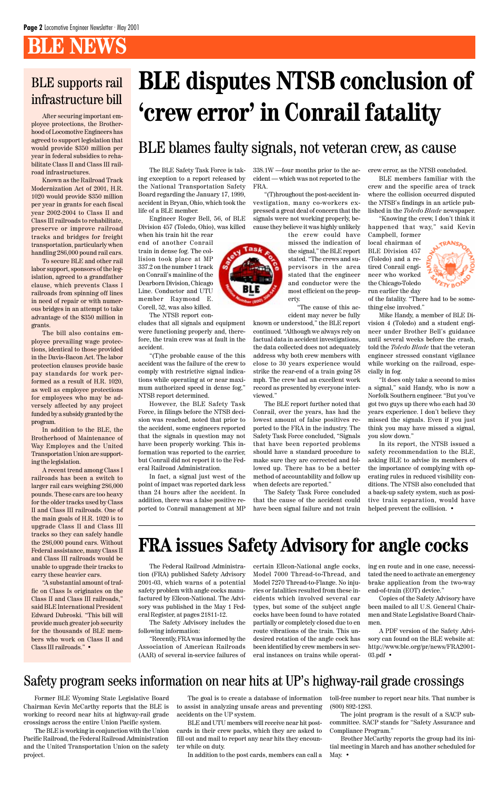# **BLE NEWS**

After securing important employee protections, the Brotherhood of Locomotive Engineers has agreed to support legislation that would provide \$350 million per year in federal subsidies to rehabilitate Class II and Class III railroad infrastructures.

Known as the Railroad Track Modernization Act of 2001, H.R. 1020 would provide \$350 million per year in grants for each fiscal year 2002-2004 to Class II and Class III railroads to rehabilitate, preserve or improve railroad tracks and bridges for freight transportation, particularly when handling 286,000 pound rail cars.

To secure BLE and other rail labor support, sponsors of the legislation, agreed to a grandfather clause, which prevents Class I railroads from spinning off lines in need of repair or with numerous bridges in an attempt to take advantage of the \$350 million in grants.

The bill also contains employee prevailing wage protections, identical to those provided in the Davis-Bacon Act. The labor protection clauses provide basic pay standards for work performed as a result of H.R. 1020, as well as employee protections for employees who may be adversely affected by any project funded by a subsidy granted by the program.

In addition to the BLE, the Brotherhood of Maintenance of Way Employes and the United Transportation Union are supporting the legislation.

A recent trend among Class I railroads has been a switch to larger rail cars weighing 286,000 pounds. These cars are too heavy for the older tracks used by Class II and Class III railroads. One of the main goals of H.R. 1020 is to upgrade Class II and Class III tracks so they can safely handle the 286,000 pound cars. Without Federal assistance, many Class II and Class III railroads would be unable to upgrade their tracks to carry these heavier cars.

"A substantial amount of traffic on Class Is originates on the Class II and Class III railroads," said BLE International President Edward Dubroski. "This bill will provide much greater job security for the thousands of BLE members who work on Class II and Class III railroads." •

The BLE Safety Task Force is taking exception to a report released by the National Transportation Safety Board regarding the January 17, 1999, accident in Bryan, Ohio, which took the life of a BLE member.

Engineer Roger Bell, 56, of BLE Division 457 (Toledo, Ohio), was killed

when his train hit the rear end of another Conrail train in dense fog. The collision took place at MP 337.2 on the number 1 track on Conrail's mainline of the Dearborn Division, Chicago Line. Conductor and UTU member Raymond E. Corell, 52, was also killed.

The NTSB report con-

cludes that all signals and equipment were functioning properly and, therefore, the train crew was at fault in the accident.

"(T)he probable cause of the this accident was the failure of the crew to comply with restrictive signal indications while operating at or near maximum authorized speed in dense fog," NTSB report determined.

However, the BLE Safety Task Force, in filings before the NTSB decision was reached, noted that prior to the accident, some engineers reported that the signals in question may not have been properly working. This information was reported to the carrier, but Conrail did not report it to the Federal Railroad Administration.

In fact, a signal just west of the point of impact was reported dark less than 24 hours after the accident. In addition, there was a false positive reported to Conrail management at MP 338.1W —four months prior to the accident — which was not reported to the FRA.

"(T)hroughout the post-accident investigation, many co-workers expressed a great deal of concern that the signals were not working properly, because they believe it was highly unlikely

the crew could have missed the indication of the signal," the BLE report stated. "The crews and supervisors in the area stated that the engineer and conductor were the most efficient on the property.

"The cause of this ac-

cident may never be fully known or understood," the BLE report continued. "Although we always rely on factual data in accident investigations, the data collected does not adequately address why both crew members with close to 30 years experience would strike the rear-end of a train going 58 mph. The crew had an excellent work record as presented by everyone interviewed."

The BLE report further noted that Conrail, over the years, has had the lowest amount of false positives reported to the FRA in the industry. The Safety Task Force concluded, "Signals that have been reported problems should have a standard procedure to make sure they are corrected and followed up. There has to be a better method of accountability and follow up when defects are reported."

The Safety Task Force concluded that the cause of the accident could have been signal failure and not train crew error, as the NTSB concluded.

BLE members familiar with the crew and the specific area of track where the collision occurred disputed the NTSB's findings in an article published in the *Toledo Blade* newspaper.

"Knowing the crew, I don't think it happened that way," said Kevin Campbell, former

local chairman of BLE Division 457 (Toledo) and a retired Conrail engineer who worked the Chicago-Toledo run earlier the day



of the fatality. "There had to be something else involved."

Mike Handy, a member of BLE Division 4 (Toledo) and a student engineer under Brother Bell's guidance until several weeks before the crash, told the *Toledo Blade* that the veteran engineer stressed constant vigilance while working on the railroad, especially in fog.

"It does only take a second to miss a signal," said Handy, who is now a Norfolk Southern engineer. "But you've got two guys up there who each had 30 years experience. I don't believe they missed the signals. Even if you just think you may have missed a signal, you slow down."

In its report, the NTSB issued a safety recommendation to the BLE, asking BLE to advise its members of the importance of complying with operating rules in reduced visibility conditions. The NTSB also concluded that a back-up safety system, such as positive train separation, would have helped prevent the collision. •

# **BLE disputes NTSB conclusion of 'crew error' in Conrail fatality**

## BLE blames faulty signals, not veteran crew, as cause

## BLE supports rail infrastructure bill

2001-03, which warns of a potential safety problem with angle cocks manufactured by Ellcon-National. The Advisory was published in the May 1 Federal Register, at pages 21811-12.

The Safety Advisory includes the following information:

"Recently, FRA was informed by the Association of American Railroads (AAR) of several in-service failures of

The Federal Railroad Administra-certain Ellcon-National angle cocks, ing en route and in one case, necessition (FRA) published Safety Advisory Model 7000 Thread-to-Thread, and tated the need to activate an emergency Model 7270 Thread-to-Flange. No injuries or fatalities resulted from these incidents which involved several car types, but some of the subject angle cocks have been found to have rotated partially or completely closed due to en route vibrations of the train. This undesired rotation of the angle cock has been identified by crew members in several instances on trains while operat-



brake application from the two-way end-of-train (EOT) device."

Copies of the Safety Advisory have been mailed to all U.S. General Chairmen and State Legislative Board Chairmen.

A PDF version of the Safety Advisory can found on the BLE website at: http://www.ble.org/pr/news/FRA2001- 03.pdf •

Former BLE Wyoming State Legislative Board Chairman Kevin McCarthy reports that the BLE is working to record near hits at highway-rail grade crossings across the entire Union Pacific system.

The BLE is working in conjunction with the Union Pacific Railroad, the Federal Railroad Administration and the United Transportation Union on the safety project.

The goal is to create a database of information to assist in analyzing unsafe areas and preventing accidents on the UP system.

BLE and UTU members will receive near hit postcards in their crew packs, which they are asked to fill out and mail to report any near hits they encounter while on duty.

In addition to the post cards, members can call a



## Safety program seeks information on near hits at UP's highway-rail grade crossings

toll-free number to report near hits. That number is (800) 892-1283.

The joint program is the result of a SACP subcommittee. SACP stands for "Safety Assurance and Compliance Program."

Brother McCarthy reports the group had its initial meeting in March and has another scheduled for May. •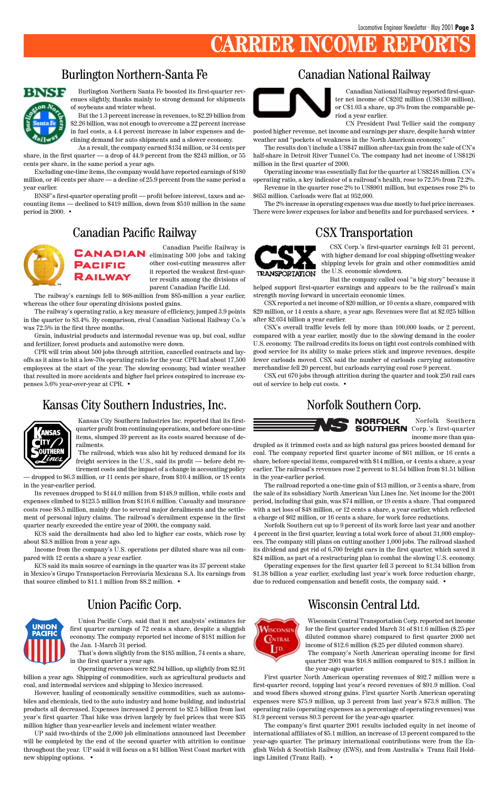# **CARRIER INCOME RE**

Wisconsin Central Transportation Corp. reported net income for the first quarter ended March 31 of \$11.6 million (\$.25 per diluted common share) compared to first quarter 2000 net income of \$12.6 million (\$.25 per diluted common share). The company's North American operating income for first quarter 2001 was \$16.8 million compared to \$18.1 million in the year-ago quarter.

First quarter North American operating revenues of \$92.7 million were a first-quarter record, topping last year's record revenues of \$91.9 million. Coal and wood fibers showed strong gains. First quarter North American operating expenses were \$75.9 million, up 3 percent from last year's \$73.8 million. The operating ratio (operating expenses as a percentage of operating revenues) was 81.9 percent versus 80.3 percent for the year-ago quarter.

The company's first quarter 2001 results included equity in net income of international affiliates of \$5.1 million, an increase of 13 percent compared to the year-ago quarter. The primary international contributions were from the English Welsh & Scottish Railway (EWS), and from Australia's Tranz Rail Holdings Limited (Tranz Rail). •

#### Burlington Northern-Santa Fe



Burlington Northern Santa Fe boosted its first-quarter revenues slightly, thanks mainly to strong demand for shipments of soybeans and winter wheat.

But the 1.3 percent increase in revenues, to \$2.29 billion from \$2.26 billion, was not enough to overcome a 22 percent increase in fuel costs, a 4.4 percent increase in labor expenses and declining demand for auto shipments and a slower economy.

#### Canadian Pacific Railway is **CANADIAN** eliminating 500 jobs and taking **PACIFIC RAILWAY**

As a result, the company earned \$134 million, or 34 cents per share, in the first quarter — a drop of 44.9 percent from the \$243 million, or 55 cents per share, in the same period a year ago.

Excluding one-time items, the company would have reported earnings of \$180 million, or 46 cents per share — a decline of 25.9 percent from the same period a year earlier.

BNSF's first-quarter operating profit — profit before interest, taxes and accounting items — declined to \$419 million, down from \$510 million in the same period in 2000. •

Canadian National Railway reported first-quarter net income of C\$202 million (US\$130 million), or C\$1.03 a share, up 3% from the comparable period a year earlier.

CN President Paul Tellier said the company posted higher revenue, net income and earnings per share, despite harsh winter weather and "pockets of weakness in the North American economy."

The results don't include a US\$47 million after-tax gain from the sale of CN's half-share in Detroit River Tunnel Co. The company had net income of US\$126 million in the first quarter of 2000.

Operating income was essentially flat for the quarter at US\$248 million. CN's operating ratio, a key indicator of a railroad's health, rose to 72.5% from 72.2%.

Revenue in the quarter rose 2% to US\$901 million, but expenses rose 2% to \$653 million. Carloads were flat at 952,000.

The 2% increase in operating expenses was due mostly to fuel price increases. There were lower expenses for labor and benefits and for purchased services. •

### Canadian National Railway



other cost-cutting measures after it reported the weakest first-quarter results among the divisions of parent Canadian Pacific Ltd.

The railway's earnings fell to \$68-million from \$85-million a year earlier, whereas the other four operating divisions posted gains.

The railway's operating ratio, a key measure of efficiency, jumped 3.9 points in the quarter to 83.4%. By comparison, rival Canadian National Railway Co.'s was 72.5% in the first three months.

Grain, industrial products and intermodal revenue was up, but coal, sulfur and fertilizer, forest products and automotive were down.

CPR will trim about 500 jobs through attrition, cancelled contracts and layoffs as it aims to hit a low-70s operating ratio for the year. CPR had about 17,500 employees at the start of the year. The slowing economy, bad winter weather that resulted in more accidents and higher fuel prices conspired to increase expenses 5.6% year-over-year at CPR. •

#### Kansas City Southern Industries, Inc. Norfolk Southern Corp.



#### Canadian Pacific Railway



CSX Corp.'s first-quarter earnings fell 31 percent, with higher demand for coal shipping offsetting weaker shipping levels for grain and other commodities amid the U.S. economic slowdown.

But the company called coal "a big story" because it helped support first-quarter earnings and appears to be the railroad's main strength moving forward in uncertain economic times.

CSX reported a net income of \$20 million, or 10 cents a share, compared with \$29 million, or 14 cents a share, a year ago. Revenues were flat at \$2.025 billion after \$2.034 billion a year earlier.

CSX's overall traffic levels fell by more than 100,000 loads, or 2 percent, compared with a year earlier, mostly due to the slowing demand in the cooler U.S. economy. The railroad credits its focus on tight cost controls combined with good service for its ability to make prices stick and improve revenues, despite fewer carloads moved. CSX said the number of carloads carrying automotive merchandise fell 20 percent, but carloads carrying coal rose 9 percent.

CSX cut 670 jobs through attrition during the quarter and took 250 rail cars out of service to help cut costs. •



#### CSX Transportation



Norfolk Southern **NORFOLK SOUTHERN** Corp.'s first-quarter income more than qua-

drupled as it trimmed costs and as high natural gas prices boosted demand for coal. The company reported first quarter income of \$61 million, or 16 cents a share, before special items, compared with \$14 million, or 4 cents a share, a year earlier. The railroad's revenues rose 2 percent to \$1.54 billion from \$1.51 billion in the year-earlier period.

The railroad reported a one-time gain of \$13 million, or 3 cents a share, from the sale of its subsidiary North American Van Lines Inc. Net income for the 2001 period, including that gain, was \$74 million, or 19 cents a share. That compared with a net loss of \$48 million, or 12 cents a share, a year earlier, which reflected a charge of \$62 million, or 16 cents a share, for work force reductions.

Norfolk Southern cut up to 9 percent of its work force last year and another 4 percent in the first quarter, leaving a total work force of about 31,000 employees. The company still plans on cutting another 1,000 jobs. The railroad slashed its dividend and got rid of 6,700 freight cars in the first quarter, which saved it \$24 million, as part of a restructuring plan to combat the slowing U.S. economy.

Operating expenses for the first quarter fell 3 percent to \$1.34 billion from \$1.38 billion a year earlier, excluding last year's work force reduction charge,

due to reduced compensation and benefit costs, the company said. •

Kansas City Southern Industries Inc. reported that its firstquarter profit from continuing operations, and before one-time items, slumped 39 percent as its costs soared because of derailments.

The railroad, which was also hit by reduced demand for its freight services in the U.S., said its profit — before debt re-

tirement costs and the impact of a change in accounting policy — dropped to \$6.3 million, or 11 cents per share, from \$10.4 million, or 18 cents in the year-earlier period.

Its revenues dropped to \$144.0 million from \$148.9 million, while costs and expenses climbed to \$123.5 million from \$116.6 million. Casualty and insurance costs rose \$8.5 million, mainly due to several major derailments and the settlement of personal injury claims. The railroad's derailment expense in the first quarter nearly exceeded the entire year of 2000, the company said.

KCS said the derailments had also led to higher car costs, which rose by about \$3.8 million from a year ago.

Income from the company's U.S. operations per diluted share was nil compared with 12 cents a share a year earlier.

KCS said its main source of earnings in the quarter was its 37 percent stake in Mexico's Grupo Transportacion Ferroviaria Mexicana S.A. Its earnings from



#### Union Pacific Corp. Wisconsin Central Ltd.



Union Pacific Corp. said that it met analysts' estimates for first quarter earnings of 72 cents a share, despite a sluggish economy. The company reported net income of \$181 million for the Jan. 1-March 31 period.

That's down slightly from the \$185 million, 74 cents a share, in the first quarter a year ago.

Operating revenues were \$2.94 billion, up slightly from \$2.91 billion a year ago. Shipping of commodities, such as agricultural products and coal, and intermodal services and shipping to Mexico increased.

However, hauling of economically sensitive commodities, such as automobiles and chemicals, tied to the auto industry and home building, and industrial products all decreased. Expenses increased 2 percent to \$2.5 billion from last year's first quarter. That hike was driven largely by fuel prices that were \$35 million higher than year-earlier levels and inclement winter weather.

UP said two-thirds of the 2,000 job eliminations announced last December will be completed by the end of the second quarter with attrition to continue throughout the year. UP said it will focus on a \$1 billion West Coast market with new shipping options. •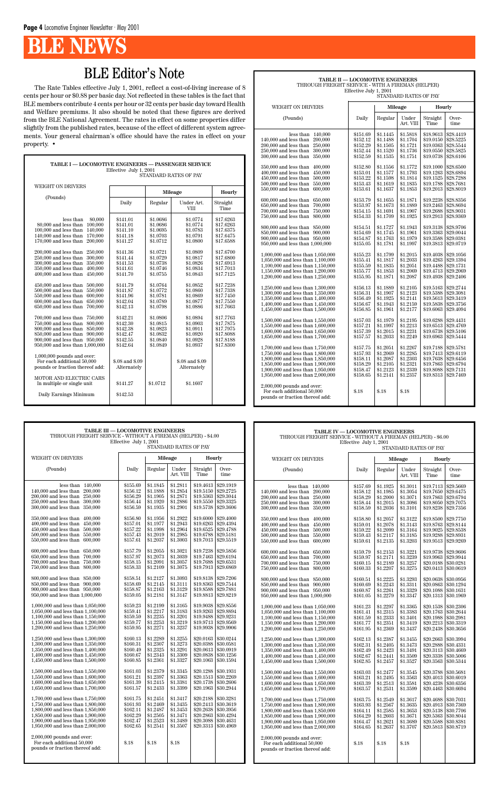# **B** NEWS

| TABLE I - LOCOMOTIVE ENGINEERS - PASSENGER SERVICE |                 |          |                 |           |  |  |  |  |
|----------------------------------------------------|-----------------|----------|-----------------|-----------|--|--|--|--|
| Effective July 1, 2001<br>STANDARD RATES OF PAY    |                 |          |                 |           |  |  |  |  |
|                                                    |                 |          |                 |           |  |  |  |  |
| <b>WEIGHT ON DRIVERS</b>                           |                 |          |                 |           |  |  |  |  |
|                                                    |                 |          | Mileage         | Hourly    |  |  |  |  |
| (Pounds)                                           | Daily           | Regular  | Under Art.      | Straight  |  |  |  |  |
|                                                    |                 |          | <b>VIII</b>     | Time      |  |  |  |  |
|                                                    |                 |          |                 |           |  |  |  |  |
| less than<br>80,000                                | \$141.01        | \$1.0686 | \$1.0774        | \$17.6263 |  |  |  |  |
| 100,000<br>80,000 and less than                    | \$141.01        | \$1.0686 | \$1.0774        | \$17.6263 |  |  |  |  |
| 100,000 and less than<br>140,000                   | \$141.10        | \$1.0695 | \$1.0783        | \$17.6375 |  |  |  |  |
| $140,000$ and less than<br>170,000                 | \$141.18        | \$1.0703 | \$1.0791        | \$17.6475 |  |  |  |  |
| $170,\!000$ and less than<br>200,000               | \$141.27        | \$1.0712 | \$1.0800        | \$17.6588 |  |  |  |  |
| 200,000 and less than<br>250,000                   | \$141.36        | \$1.0721 | \$1.0809        | \$17.6700 |  |  |  |  |
| $250,\!000$ and less than<br>300,000               | \$141.44        | \$1.0729 | \$1.0817        | \$17.6800 |  |  |  |  |
| 300,000 and less than<br>350,000                   | \$141.53        | \$1.0738 | \$1.0826        | \$17.6913 |  |  |  |  |
| $350,000$ and less than<br>400,000                 | \$141.61        | \$1.0746 | \$1.0834        | \$17.7013 |  |  |  |  |
| 400,000 and less than<br>450,000                   | \$141.70        | \$1.0755 | \$1.0843        | \$17.7125 |  |  |  |  |
|                                                    |                 |          |                 |           |  |  |  |  |
| 450,000 and less than<br>500,000                   | \$141.79        | \$1.0764 | \$1.0852        | \$17.7238 |  |  |  |  |
| 500,000 and less than<br>550,000                   | \$141.87        | \$1.0772 | \$1.0860        | \$17.7338 |  |  |  |  |
| 550,000 and less than<br>600,000                   | \$141.96        | \$1.0781 | \$1.0869        | \$17.7450 |  |  |  |  |
| 600,000 and less than<br>650,000                   | \$142.04        | \$1.0789 | \$1.0877        | \$17.7550 |  |  |  |  |
| 650,000 and less than<br>700,000                   | \$142.13        | \$1.0798 | \$1.0886        | \$17.7663 |  |  |  |  |
| 700,000 and less than<br>750,000                   | \$142.21        | \$1.0806 | \$1.0894        | \$17.7763 |  |  |  |  |
| 750,000 and less than<br>800,000                   | \$142.30        | \$1.0815 | \$1.0903        | \$17.7875 |  |  |  |  |
| 800,000 and less than<br>850,000                   | \$142.38        | \$1.0823 | \$1.0911        | \$17.7975 |  |  |  |  |
| 850,000 and less than<br>900,000                   | \$142.47        | \$1.0832 | \$1.0920        | \$17.8088 |  |  |  |  |
| 900,000 and less than 950,000                      | \$142.55        | \$1.0840 | \$1.0928        | \$17.8188 |  |  |  |  |
| $950,\!000$ and less than $1,\!000,\!000$          | \$142.64        | \$1.0849 | \$1.0937        | \$17.8300 |  |  |  |  |
|                                                    |                 |          |                 |           |  |  |  |  |
| $1,000,000$ pounds and over:                       |                 |          |                 |           |  |  |  |  |
| For each additional 50,000                         | \$.08 and \$.09 |          | \$.08 and \$.09 |           |  |  |  |  |
| pounds or fraction thereof add:                    | Alternately     |          | Alternately     |           |  |  |  |  |
| MOTOR AND ELECTRIC CARS                            |                 |          |                 |           |  |  |  |  |
| In multiple or single unit                         | \$141.27        | \$1.0712 | \$1.1607        |           |  |  |  |  |
|                                                    |                 |          |                 |           |  |  |  |  |
| Daily Earnings Minimum                             | \$142.53        |          |                 |           |  |  |  |  |
|                                                    |                 |          |                 |           |  |  |  |  |

**TABLE II — LOCOMOTIVE ENGINEERS** THROUGH FREIGHT SERVICE - WITH A FIREMAN (HELPER) Effective July 1, 2001

|                                                      | STANDARD RATES OF PAY |                      |                      |                        |                        |  |  |  |  |
|------------------------------------------------------|-----------------------|----------------------|----------------------|------------------------|------------------------|--|--|--|--|
| WEIGHT ON DRIVERS                                    |                       | Mileage              |                      | Hourly                 |                        |  |  |  |  |
| (Pounds)                                             | Daily                 | Regular              | Under<br>Art. VIII   | Straight<br>Time       | Over-<br>time          |  |  |  |  |
| less than $140,000$<br>140,000 and less than 200,000 | \$151.69<br>\$152.12  | \$1.1445<br>\$1.1488 | \$1.5818<br>\$1.1704 | \$18.9613<br>\$19.0150 | \$28.4419<br>\$28.5225 |  |  |  |  |
| 200,000 and less than<br>250,000                     | \$152.29              | \$1.1505             | \$1.1721             | \$19.0363              | \$28.5544              |  |  |  |  |
| 250,000 and less than<br>300,000                     | \$152.44              | \$1.1520             | \$1.1736             | \$19.0550              | \$28.5825              |  |  |  |  |
| 300,000 and less than<br>350,000                     | \$152.59              | \$1.1535             | \$1.1751             | \$19.0738              | \$28.6106              |  |  |  |  |
| 350,000 and less than<br>400,000                     | \$152.80              | \$1.1556             | \$1.1772             | \$19.1000              | \$28.6500              |  |  |  |  |
| $400,000$ and less than<br>450,000                   | \$153.01              | \$1.1577             | \$1.1793             | \$19.1263              | \$28.6894              |  |  |  |  |
| $450,000$ and less than<br>500,000                   | \$153.22              | \$1.1598             | \$1.1814             | \$19.1525              | \$28.7288              |  |  |  |  |
| $500,000$ and less than<br>550,000                   | \$153.43              | \$1.1619             | \$1.1835             | \$19.1788              | \$28.7681              |  |  |  |  |
| 550,000 and less than<br>600,000                     | \$153.61              | \$1.1637             | \$1.1853             | \$19.2013              | \$28.8019              |  |  |  |  |
| $600,000$ and less than<br>650,000                   | \$153.79              | \$1.1655             | \$1.1871             | \$19.2238              | \$28.8356              |  |  |  |  |
| 650,000 and less than<br>700,000                     | \$153.97              | \$1.1673             | \$1.1889             | \$19.2463              | \$28.8694              |  |  |  |  |
| 700,000 and less than<br>750,000                     | \$154.15              | \$1.1691             | \$1.1907             | \$19.2688              | \$28.9031              |  |  |  |  |
| 750,000 and less than<br>800,000                     | \$154.33              | \$1.1709             | \$1.1925             | \$19.2913              | \$28.9369              |  |  |  |  |
| 800,000 and less than 850,000                        | \$154.51              | \$1.1727             | \$1.1943             | \$19.3138              | \$28,9706              |  |  |  |  |
| $850,000$ and less than<br>900,000                   | \$154.69              | \$1.1745             | \$1.1961             | \$19.3363              | \$29.0044              |  |  |  |  |
| 900,000 and less than 950,000                        | \$154.87              | \$1.1763             | \$1.1979             | \$19.3588              | \$29.0381              |  |  |  |  |
| 950,000 and less than 1,000,000                      | \$155.05              | \$1.1781             | \$1.1997             | \$19.3813              | \$29.0719              |  |  |  |  |
| 1,000,000 and less than 1,050,000                    | \$155.23              | \$1.1799             | \$1.2015             | \$19.4038              | \$29.1056              |  |  |  |  |
| 1,050,000 and less than 1,100,000                    | \$155.41              | \$1.1817             | \$1.2033             | \$19.4263              | \$29.1394              |  |  |  |  |
| 1,100,000 and less than 1,150,000                    | \$155.59              | \$1.1835             | \$1.2051             | \$19.4488              | \$29.1731              |  |  |  |  |
| 1,150,000 and less than 1,200,000                    | \$155.77              | \$1.1853             | \$1.2069             | \$19.4713              | \$29.2069              |  |  |  |  |
| 1,200,000 and less than 1,250,000                    | \$155.95              | \$1.1871             | \$1.2087             | \$19.4938              | \$29.2406              |  |  |  |  |
| 1,250,000 and less than 1,300,000                    | \$156.13              | \$1.1889             | \$1.2105             | \$19.5163              | \$29.2744              |  |  |  |  |
| 1,300,000 and less than 1,350,000                    | \$156.31              | \$1.1907             | \$1.2123             | \$19.5388              | \$29.3081              |  |  |  |  |
| 1,350,000 and less than 1,400,000                    | \$156.49              | \$1.1925             | \$1.2141             | \$19.5613              | \$29.3419              |  |  |  |  |
| 1,400,000 and less than 1,450,000                    | \$156.67              | \$1.1943             | \$1.2159             | \$19.5838              | \$29.3756              |  |  |  |  |
| 1,450,000 and less than 1,500,000                    | \$156.85              | \$1.1961             | \$1.2177             | \$19.6063              | \$29.4094              |  |  |  |  |
| 1,500,000 and less than 1,550,000                    | \$157.03              | \$1.1979             | \$1.2195             | \$19.6288              | \$29.4431              |  |  |  |  |
| 1.550,000 and less than 1.600,000                    | \$157.21              | \$1.1997             | \$1.2213             | \$19.6513              | \$29.4769              |  |  |  |  |
| 1,600,000 and less than 1,650,000                    | \$157.39              | \$1.2015             | \$1.2231             | \$19.6738              | \$29.5106              |  |  |  |  |
| 1,650,000 and less than 1,700,000                    | \$157.57              | \$1.2033             | \$1.2249             | \$19.6963              | \$29.5444              |  |  |  |  |
| 1,700,000 and less than 1,750,000                    | \$157.75              | \$1.2051             | \$1.2267             | \$19.7188              | \$29.5781              |  |  |  |  |
| 1,750,000 and less than 1,800,000                    | \$157.93              | \$1.2069             | \$1.2285             | \$19.7413              | \$29.6119              |  |  |  |  |
| 1,800,000 and less than 1,850,000                    | \$158.11              | \$1.2087             | \$1.2303             | \$19.7638              | \$29.6456              |  |  |  |  |
| 1,850,000 and less than 1,900,000                    | \$158.29              | \$1.2105             | \$1.2321             | \$19.7863              | \$29.6794              |  |  |  |  |
| 1,900,000 and less than 1,950,000                    | \$158.47              | \$1.2123             | \$1.2339             | \$19.8088              | \$29.7131              |  |  |  |  |
| 1,950,000 and less than 2,000,000                    | \$158.65              | \$1.2141             | \$1.2357             | \$19.8313              | \$29.7469              |  |  |  |  |
| $2,000,000$ pounds and over:                         |                       |                      |                      |                        |                        |  |  |  |  |

For each additional 50,000 \$.18 \$.18 \$.18

pounds or fraction thereof add:

| <b>TABLE III - LOCOMOTIVE ENGINEERS</b><br>THROUGH FREIGHT SERVICE - WITHOUT A FIREMAN (HELPER) - \$4.00<br>Effective July 1, 2001<br>STANDARD RATES OF PAY                                                                |                                                                      |                                                                      |                                                                      |                                                  |                                                                                                                  | TABLE IV - LOCOMOTIVE ENGINEERS<br>THROUGH FREIGHT SERVICE - WITHOUT A FIREMAN (HELPER) - \$6.00<br>Effective July 1, 2001<br>STANDARD RATES OF PAY                                                                        |                                                                      |                                                                      |                                                                      |                                                  |                                                                                                                                             |
|----------------------------------------------------------------------------------------------------------------------------------------------------------------------------------------------------------------------------|----------------------------------------------------------------------|----------------------------------------------------------------------|----------------------------------------------------------------------|--------------------------------------------------|------------------------------------------------------------------------------------------------------------------|----------------------------------------------------------------------------------------------------------------------------------------------------------------------------------------------------------------------------|----------------------------------------------------------------------|----------------------------------------------------------------------|----------------------------------------------------------------------|--------------------------------------------------|---------------------------------------------------------------------------------------------------------------------------------------------|
| WEIGHT ON DRIVERS                                                                                                                                                                                                          |                                                                      |                                                                      | Mileage                                                              | Hourly                                           |                                                                                                                  | WEIGHT ON DRIVERS                                                                                                                                                                                                          |                                                                      |                                                                      | Mileage                                                              | Hourly                                           |                                                                                                                                             |
| (Pounds)                                                                                                                                                                                                                   | Daily                                                                | Regular                                                              | Under<br>Art. VIII                                                   | Straight<br>Time                                 | Over-<br>time                                                                                                    | (Pounds)                                                                                                                                                                                                                   | Daily                                                                | Regular                                                              | Under<br>Art. VIII                                                   | Straight<br>Time                                 | Over-<br>time                                                                                                                               |
| less than 140,000<br>$140{,}000$ and less than $\,$ 200,000 $\,$<br>200,000 and less than 250,000<br>250,000 and less than 300,000<br>300,000 and less than 350,000                                                        | \$155.69<br>\$156.12<br>\$156.29<br>\$156.44<br>\$156.59             | \$1.1845<br>\$1.1888<br>\$1.1905<br>\$1.1920<br>\$1.1935             | \$1.2811<br>\$1.2854<br>\$1.2871<br>\$1.2886<br>\$1.2901             | \$19.5150<br>\$19.5550                           | $$19.4613 \mid $29.1919$<br>\$29.2725<br>\$19.5363 \$29.3044<br>\$29.3325<br>$$19.5738$ $$29.3606$               | less than $140,000$<br>140,000 and less than 200,000<br>200,000 and less than 250,000<br>250,000 and less than 300,000<br>300,000 and less than 350,000                                                                    | \$157.69<br>\$158.12<br>\$158.29<br>\$158.44<br>\$158.59             | \$1.1925<br>\$1.1985<br>\$1.2000<br>\$1.2015<br>\$1.2036             | \$1.3011<br>\$1.3054<br>\$1.3071<br>\$1.3086<br>\$1.3101             | \$19.7113<br>\$19.7650<br>\$19.7863<br>\$19.8050 | \$29.5669<br>\$29.6475<br>\$29.6794<br>\$29.7075<br>\$19.8238 \$29.7356                                                                     |
| 350,000 and less than 400,000<br>400,000 and less than 450,000<br>450,000 and less than 500,000<br>500,000 and less than 550,000<br>$550,\!000$ and less than $\,$ $600,\!000$                                             | \$156.80<br>\$157.01<br>\$157.22<br>\$157.43<br>\$157.61             | \$1.1956<br>\$1.1977<br>\$1.1998<br>\$1.2019<br>\$1.2037             | \$1.2922<br>\$1.2943<br>\$1.2964<br>\$1.2985<br>\$1.3003             | \$19.6525<br>\$19.6788                           | $$19.6000$ $$29.4000$<br>$$19.6263 \mid $29.4394$<br>\$29.4788<br>\$29.5181<br>\$19.7013   \$29.5519             | 350,000 and less than 400,000<br>400,000 and less than 450,000<br>450,000 and less than 500,000<br>500,000 and less than 550,000<br>550,000 and less than 600,000                                                          | \$158.80<br>\$159.01<br>\$159.22<br>\$159.43<br>\$159.61             | \$1.2057<br>\$1.2078<br>\$1.2099<br>\$1.2117<br>\$1.2135             | \$1.3122<br>\$1.3143<br>\$1.3164<br>\$1.3185<br>\$1.3203             | \$19.8500<br>\$19.8763<br>\$19.9025<br>\$19.9288 | \$29.7750<br>\$29.8144<br>\$29.8538<br>\$29.8931<br>\$19.9513 \$29.9269                                                                     |
| 600,000 and less than 650,000<br>650,000 and less than 700,000<br>700,000 and less than 750,000<br>750,000 and less than 800,000                                                                                           | \$157.79<br>\$157.97<br>\$158.15<br>\$158.33                         | \$1.2055<br>\$1.2073<br>\$1.2091<br>\$1.2109                         | \$1.3021<br>\$1.3039<br>\$1.3057<br>\$1.3075                         | \$19.7238<br>\$19.7463<br>\$19.7688              | \$29.5856<br>\$29.6194<br>\$29.6531<br>$$19.7913 \mid $29.6869$                                                  | 600,000 and less than 650,000<br>650,000 and less than 700,000<br>700,000 and less than 750,000<br>750,000 and less than 800,000                                                                                           | \$159.79<br>\$159.97<br>\$160.15<br>\$160.33                         | \$1.2153<br>\$1.2171<br>\$1.2189<br>\$1.2207                         | \$1.3221<br>\$1.3239<br>\$1.3257<br>\$1.3275                         | \$19.9738<br>\$19.9963                           | \$29.9606<br>\$29.9944<br>\$20.0188 \$30.0281<br>$$20.0413 \;   \; $30.0619$                                                                |
| 800,000 and less than 850,000<br>850,000 and less than 900,000<br>900,000 and less than 950,000<br>950,000 and less than 1,000,000                                                                                         | \$158.51<br>\$158.69<br>\$158.87<br>\$159.05                         | \$1.2127<br>\$1.2145<br>\$1.2163<br>\$1.2181                         | \$1.3093<br>\$1.3111<br>\$1.3129<br>\$1.3147                         |                                                  | $$19.8138$ $$29.7206$<br>\$19.8363 \$29.7544<br>\$19.8588 \$29.7881<br>\$19.8813 \$29.8219                       | 800,000 and less than 850,000<br>850,000 and less than 900,000<br>900,000 and less than 950,000<br>950,000 and less than 1,000,000                                                                                         | \$160.51<br>\$160.69<br>\$160.87<br>\$161.05                         | \$1.2225<br>\$1.2243<br>\$1.2261<br>\$1.2279                         | \$1.3293<br>\$1.3311<br>\$1.3329<br>\$1.3347                         | \$20.0638<br>\$20.1088                           | \$30.0956<br>$$20.0863 \; \; $30.1294$<br>\$30.1631<br>$$20.1313 \;   \; $30.1969$                                                          |
| 1,000,000 and less than 1,050,000<br>1,050,000 and less than 1,100,000<br>1,100,000 and less than 1,150,000<br>1,150,000 and less than 1,200,000<br>1,200,000 and less than 1,250,000                                      | \$159.23<br>\$159.41<br>\$159.59<br>\$159.77<br>\$159.95             | \$1.2199<br>\$1.2217<br>\$1.2235<br>\$1.2253<br>\$1.2271             | \$1.3165<br>\$1.3183<br>\$1.3201<br>\$1.3219<br>\$1.3237             | \$19.9038<br>\$19.9263 \$29.8894<br>\$19.9488    | \$29.8556<br>\$29.9231<br>\$19.9713 \$29.9569<br>\$19.9938 \$29.9906                                             | 1,000,000 and less than 1,050,000<br>1,050,000 and less than 1,100,000<br>1,100,000 and less than 1,150,000<br>1,150,000 and less than 1,200,000<br>1,200,000 and less than 1,250,000                                      | \$161.23<br>\$161.41<br>\$161.59<br>\$161.77<br>\$161.95             | \$1.2297<br>\$1.2315<br>\$1.2333<br>\$1.2351<br>\$1.2369             | \$1.3365<br>\$1.3383<br>\$1.3401<br>\$1.3419<br>\$1.3437             | \$20.1988                                        | $$20.1538$ \$30.2306<br>$$20.1763$ \\$30.2644<br>\$30.2981<br>$$20.2213 \;   \; $30.3319$<br>$$20.2438 \; \; $30.3656$                      |
| 1,250,000 and less than 1,300,000<br>1,300,000 and less than 1,350,000<br>1,350,000 and less than 1,400,000<br>1,400,000 and less than 1,450,000<br>1,450,000 and less than 1,500,000                                      | \$160.13<br>\$160.31<br>\$160.49<br>\$160.67<br>\$160.85             | \$1.2289<br>\$1.2307<br>\$1.2325<br>\$1.2343<br>\$1.2361             | \$1.3255<br>\$1.3273<br>\$1.3291<br>\$1.3309<br>\$1.3327             | \$20.0388<br>\$20.0838                           | $$20.0163 \mid $30.0244$<br>\$30.0581<br>$$20.0613 \;   \; $30.0919$<br>\$30.1256<br>$$20.1063 \;   \; $30.1594$ | 1,250,000 and less than 1,300,000<br>1,300,000 and less than 1,350,000<br>1,350,000 and less than 1,400,000<br>1,400,000 and less than 1,450,000<br>1,450,000 and less than 1,500,000                                      | \$162.13<br>\$162.31<br>\$162.49<br>\$162.67<br>\$162.85             | \$1.2387<br>\$1.2405<br>\$1.2423<br>\$1.2441<br>\$1.2457             | \$1.3455<br>\$1.3473<br>\$1.3491<br>\$1.3509<br>\$1.3527             | \$20.3338                                        | \$20.2663 \$30.3994<br>\$20.2888 \$30.4331<br>$$20.3113 \;   \; $30.4669$<br>\$30.5006<br>$$20.3563 \; \; $30.5344$                         |
| 1,500,000 and less than 1,550,000<br>1,550,000 and less than 1,600,000<br>1,600,000 and less than 1,650,000<br>1,650,000 and less than 1,700,000                                                                           | \$161.03<br>\$161.21<br>\$161.39<br>\$161.57                         | \$1.2379<br>\$1.2397<br>\$1.2415<br>\$1.2433                         | \$1.3345<br>\$1.3363<br>\$1.3381<br>\$1.3399                         | \$20.1288<br>\$20.1738                           | \$30.1931<br>$$20.1513$ \$30.2269<br>\$30.2606<br>$$20.1963 \;   \; $30.2944$                                    | 1,500,000 and less than 1,550,000<br>1,550,000 and less than 1,600,000<br>1,600,000 and less than 1,650,000<br>1,650,000 and less than 1,700,000                                                                           | \$163.03<br>\$163.21<br>\$163.39<br>\$163.57                         | \$1.2477<br>\$1.2495<br>\$1.2513<br>\$1.2531                         | \$1.3545<br>\$1.3563<br>\$1.3581<br>\$1.3599                         | \$20.3788<br>\$20.4238                           | \$30.5681<br>$$20.4013 \;   \; $30.6019$<br>\$30.6356<br>\$20.4463   \$30.6694                                                              |
| 1,700,000 and less than 1,750,000<br>1,750,000 and less than 1,800,000<br>1,800,000 and less than 1,850,000<br>1.850,000 and less than 1.900,000<br>1,900,000 and less than 1,950,000<br>1,950,000 and less than 2,000,000 | \$161.75<br>\$161.93<br>\$162.11<br>\$162.29<br>\$162.47<br>\$162.65 | \$1.2451<br>\$1.2469<br>\$1.2487<br>\$1.2505<br>\$1.2523<br>\$1.2541 | \$1.3417<br>\$1.3435<br>\$1.3453<br>\$1.3471<br>\$1.3489<br>\$1.3507 | \$20.2188<br>\$20.2638<br>\$20.2863<br>\$20.3088 | \$30.3281<br>$$20.2413 \;   \; $30.3619$<br>\$30.3956<br>\$30.4294<br>\$30.4631<br>$$20.3313 \;   \; $30.4969$   | 1,700,000 and less than 1,750,000<br>1,750,000 and less than 1,800,000<br>1,800,000 and less than 1,850,000<br>1,850,000 and less than 1,900,000<br>1,900,000 and less than 1,950,000<br>1,950,000 and less than 2,000,000 | \$163.75<br>\$163.93<br>\$164.11<br>\$164.29<br>\$164.47<br>\$164.65 | \$1.2549<br>\$1.2567<br>\$1.2585<br>\$1.2603<br>\$1.2621<br>\$1.2637 | \$1.3617<br>\$1.3635<br>\$1.3653<br>\$1.3671<br>\$1.3689<br>\$1.3707 | \$20.4688<br>\$20.5588                           | \$30.7031<br>$$20.4913 \; \; $30.7369$<br>$$20.5138 \mid $30.7706$<br>$$20.5363 \; \; $30.8044$<br>\$30.8381<br>$$20.5813 \;   \; $30.8719$ |
| $2,000,000$ pounds and over:<br>For each additional 50,000<br>pounds or fraction thereof add:                                                                                                                              | \$.18                                                                | \$.18                                                                | \$.18                                                                |                                                  |                                                                                                                  | 2,000,000 pounds and over:<br>For each additional 50,000<br>pounds or fraction thereof add:                                                                                                                                | \$.18                                                                | \$.18                                                                | \$.18                                                                |                                                  |                                                                                                                                             |

| THROUGH FREIGHT SERVICE - WITHOUT A FIREMAN (HELPER) - \$4.00<br>Effective July 1, 2001                                                                                                                                       |                                                                                  |                                                                                  |                                                                                  | THROUGH FREIGHT SERVICE - WITHOUT A FIREMAN (HELPER) - \$6.00<br>Effective July 1, 2001 |                                                                                                                                              |  |                                                                                                                                                                                                                                        |                                                                                  |                                                                                  |                                                                                  |                                     |                                                                                                                                                               |  |
|-------------------------------------------------------------------------------------------------------------------------------------------------------------------------------------------------------------------------------|----------------------------------------------------------------------------------|----------------------------------------------------------------------------------|----------------------------------------------------------------------------------|-----------------------------------------------------------------------------------------|----------------------------------------------------------------------------------------------------------------------------------------------|--|----------------------------------------------------------------------------------------------------------------------------------------------------------------------------------------------------------------------------------------|----------------------------------------------------------------------------------|----------------------------------------------------------------------------------|----------------------------------------------------------------------------------|-------------------------------------|---------------------------------------------------------------------------------------------------------------------------------------------------------------|--|
|                                                                                                                                                                                                                               |                                                                                  |                                                                                  | STANDARD RATES OF PAY                                                            |                                                                                         |                                                                                                                                              |  |                                                                                                                                                                                                                                        |                                                                                  | STANDARD RATES OF PAY                                                            |                                                                                  |                                     |                                                                                                                                                               |  |
| <b>WEIGHT ON DRIVERS</b>                                                                                                                                                                                                      |                                                                                  |                                                                                  | Mileage                                                                          | Hourly                                                                                  |                                                                                                                                              |  | <b>WEIGHT ON DRIVERS</b>                                                                                                                                                                                                               |                                                                                  |                                                                                  | Mileage                                                                          | Hourly                              |                                                                                                                                                               |  |
| (Pounds)                                                                                                                                                                                                                      | Daily                                                                            | Regular                                                                          | Under<br>Art. VIII                                                               | Straight<br>Time                                                                        | Over-<br>time                                                                                                                                |  | (Pounds)                                                                                                                                                                                                                               | Daily                                                                            | Regular                                                                          | Under<br>Art. VIII                                                               | Straight<br>Time                    | Over-<br>time                                                                                                                                                 |  |
| less than $140,000$<br>$140,000$ and less than $200,000$<br>200,000 and less than 250,000<br>250,000 and less than 300,000<br>300,000 and less than 350,000<br>350,000 and less than 400,000<br>400,000 and less than 450,000 | \$155.69<br>\$156.12<br>\$156.29<br>\$156.44<br>\$156.59<br>\$156.80<br>\$157.01 | \$1.1845<br>\$1.1888<br>\$1.1905<br>\$1.1920<br>\$1.1935<br>\$1.1956<br>\$1.1977 | \$1.2811<br>\$1.2854<br>\$1.2871<br>\$1.2886<br>\$1.2901<br>\$1.2922<br>\$1.2943 | \$19.4613<br>\$19.5550<br>\$19.6000<br>\$19.6263                                        | \$29.1919<br>\$19.5150 \$29.2725<br>$$19.5363 \mid $29.3044$<br>\$29.3325<br>\$19.5738   \$29.3606<br>\$29.4000<br>\$29.4394                 |  | less than $140,000$<br>140,000 and less than 200,000<br>200,000 and less than 250,000<br>250,000 and less than 300,000<br>300,000 and less than 350,000<br>350,000 and less than 400,000<br>400,000 and less than 450,000              | \$157.69<br>\$158.12<br>\$158.29<br>\$158.44<br>\$158.59<br>\$158.80<br>\$159.01 | \$1.1925<br>\$1.1985<br>\$1.2000<br>\$1.2015<br>\$1.2036<br>\$1.2057<br>\$1.2078 | \$1.3011<br>\$1.3054<br>\$1.3071<br>\$1.3086<br>\$1.3101<br>\$1.3122<br>\$1.3143 | \$19.8763                           | $$19.7113 \mid $29.5669$<br>\$19.7650 \$29.6475<br>\$19.7863 \$29.6794<br>\$19,8050 \$29,7075<br>$$19.8238 \mid $29.7356$<br>\$19.8500 \$29.7750<br>\$29.8144 |  |
| 450,000 and less than 500,000<br>500,000 and less than 550,000<br>550,000 and less than 600,000                                                                                                                               | \$157.22<br>\$157.43<br>\$157.61                                                 | \$1.1998<br>\$1.2019<br>\$1.2037                                                 | \$1.2964<br>\$1.2985<br>\$1.3003                                                 | \$19.6525<br>\$19.6788                                                                  | \$29.4788<br>\$29.5181<br>$$19.7013 \;   \; $29.5519$                                                                                        |  | 450,000 and less than 500,000<br>500,000 and less than 550,000<br>550,000 and less than 600,000                                                                                                                                        | \$159.22<br>\$159.43<br>\$159.61                                                 | \$1.2099<br>\$1.2117<br>\$1.2135                                                 | \$1.3164<br>\$1.3185<br>\$1.3203                                                 | \$19.9025<br>\$19.9288              | \$29.8538<br>\$29.8931<br>$$19.9513 \mid $29.9269$                                                                                                            |  |
| 600,000 and less than 650,000<br>650,000 and less than 700,000<br>700,000 and less than 750,000<br>750,000 and less than 800,000                                                                                              | \$157.79<br>\$157.97<br>\$158.15<br>\$158.33                                     | \$1.2055<br>\$1.2073<br>\$1.2091<br>\$1.2109                                     | \$1.3021<br>\$1.3039<br>\$1.3057<br>\$1.3075                                     | \$19.7238<br>\$19.7463<br>$$19.7688 \;$ $$29.6531$                                      | \$29.5856<br>\$29.6194<br>\$19.7913 \$29.6869                                                                                                |  | 600,000 and less than 650,000<br>650,000 and less than 700,000<br>700,000 and less than 750,000<br>750,000 and less than 800,000                                                                                                       | \$159.79<br>\$159.97<br>\$160.15<br>\$160.33                                     | \$1.2153<br>\$1.2171<br>\$1.2189<br>\$1.2207                                     | \$1.3221<br>\$1.3239<br>\$1.3257<br>\$1.3275                                     | \$20.0188                           | \$19.9738 \$29.9606<br>$$19.9963 \mid $29.9944$<br>\$30.0281<br>$$20.0413 \;   \; $30.0619$                                                                   |  |
| 800,000 and less than 850,000<br>850,000 and less than 900,000<br>900,000 and less than 950,000<br>950,000 and less than 1,000,000                                                                                            | \$158.51<br>\$158.69<br>\$158.87<br>\$159.05                                     | \$1.2127<br>\$1.2145<br>\$1.2163<br>\$1.2181                                     | \$1.3093<br>\$1.3111<br>\$1.3129<br>\$1.3147                                     | \$19.8138<br>\$19.8363<br>\$19.8588<br>\$19.8813                                        | \$29.7206<br>\$29.7544<br>\$29.7881<br>\$29.8219                                                                                             |  | 800,000 and less than 850,000<br>850,000 and less than 900,000<br>900,000 and less than 950,000<br>950,000 and less than 1,000,000                                                                                                     | \$160.51<br>\$160.69<br>\$160.87<br>\$161.05                                     | \$1.2225<br>\$1.2243<br>\$1.2261<br>\$1.2279                                     | \$1.3293<br>\$1.3311<br>\$1.3329<br>\$1.3347                                     | \$20.0863<br>\$20.1088              | $$20.0638$ \s30.0956<br>\$30.1294<br>\$30.1631<br>$$20.1313 \;   \; $30.1969$                                                                                 |  |
| 1,000,000 and less than 1,050,000<br>1,050,000 and less than 1,100,000<br>1.100,000 and less than 1.150,000<br>1,150,000 and less than 1,200,000<br>1,200,000 and less than 1,250,000                                         | \$159.23<br>\$159.41<br>\$159.59<br>\$159.77<br>\$159.95                         | \$1.2199<br>\$1.2217<br>\$1.2235<br>\$1.2253<br>\$1.2271                         | \$1.3165<br>\$1.3183<br>\$1.3201<br>\$1.3219<br>\$1.3237                         | \$19.9713                                                                               | $$19.9038 \mid $29.8556$<br>$$19.9263 \; \; $29.8894$<br>$$19.9488 \; \; $29.9231$<br>\$29.9569<br>$$19.9938 \; \; $29.9906$                 |  | 1,000,000 and less than 1,050,000<br>1,050,000 and less than 1,100,000<br>1,100,000 and less than 1,150,000<br>1,150,000 and less than 1,200,000<br>1,200,000 and less than 1,250,000                                                  | \$161.23<br>\$161.41<br>\$161.59<br>\$161.77<br>\$161.95                         | \$1.2297<br>\$1.2315<br>\$1.2333<br>\$1.2351<br>\$1.2369                         | \$1.3365<br>\$1.3383<br>\$1.3401<br>\$1.3419<br>\$1.3437                         | \$20.1988                           | $$20.1538$ \s30.2306<br>\$20.1763 \$30.2644<br>\$30.2981<br>$$20.2213 \;   \; $30.3319$<br>$$20.2438 \; \; $30.3656$                                          |  |
| 1,250,000 and less than 1,300,000<br>1,300,000 and less than 1,350,000<br>1,350,000 and less than 1,400,000<br>1,400,000 and less than 1,450,000<br>1,450,000 and less than 1,500,000                                         | \$160.13<br>\$160.31<br>\$160.49<br>\$160.67<br>\$160.85                         | \$1.2289<br>\$1.2307<br>\$1.2325<br>\$1.2343<br>\$1.2361                         | \$1.3255<br>\$1.3273<br>\$1.3291<br>\$1.3309<br>\$1.3327                         | \$20.0163                                                                               | \$30.0244<br>$$20.0388 \; \; $30.0581$<br>$$20.0613 \; \; $30.0919$<br>$$20.0838 \; \; $30.1256$<br>$$20.1063 \;   \; $30.1594$              |  | 1,250,000 and less than 1,300,000<br>1,300,000 and less than 1,350,000<br>1,350,000 and less than 1,400,000<br>1,400,000 and less than 1,450,000<br>1,450,000 and less than 1,500,000                                                  | \$162.13<br>\$162.31<br>\$162.49<br>\$162.67<br>\$162.85                         | \$1.2387<br>\$1.2405<br>\$1.2423<br>\$1.2441<br>\$1.2457                         | \$1.3455<br>\$1.3473<br>\$1.3491<br>\$1.3509<br>\$1.3527                         | \$20.3338<br>\$20.3563              | $$20.2663 \;   \; $30.3994$<br>\$20.2888 \$30.4331<br>$$20.3113 \;   \; $30.4669$<br>\$30.5006<br>\$30.5344                                                   |  |
| 1,500,000 and less than 1,550,000<br>1,550,000 and less than 1,600,000<br>1,600,000 and less than 1,650,000<br>1,650,000 and less than 1,700,000                                                                              | \$161.03<br>\$161.21<br>\$161.39<br>\$161.57                                     | \$1.2379<br>\$1.2397<br>\$1.2415<br>\$1.2433                                     | \$1.3345<br>\$1.3363<br>\$1.3381<br>\$1.3399                                     | \$20.1738                                                                               | $$20.1288 \;   \; $30.1931$<br>$$20.1513 \;   \; $30.2269$<br>\$30.2606<br>$$20.1963 \;   \; $30.2944$                                       |  | 1,500,000 and less than 1,550,000<br>1,550,000 and less than 1,600,000<br>1,600,000 and less than 1,650,000<br>1,650,000 and less than 1,700,000                                                                                       | \$163.03<br>\$163.21<br>\$163.39<br>\$163.57                                     | \$1.2477<br>\$1.2495<br>\$1.2513<br>\$1.2531                                     | \$1.3545<br>\$1.3563<br>\$1.3581<br>\$1.3599                                     | \$20.3788<br>\$20.4013<br>\$20.4238 | \$30.5681<br>\$30.6019<br>\$30.6356<br>$$20.4463 \;   \; $30.6694$                                                                                            |  |
| 1,700,000 and less than 1,750,000<br>1,750,000 and less than 1,800,000<br>1,800,000 and less than 1,850,000<br>1,850,000 and less than 1,900,000<br>1,900,000 and less than 1,950,000<br>1,950,000 and less than 2,000,000    | \$161.75<br>\$161.93<br>\$162.11<br>\$162.29<br>\$162.47<br>\$162.65             | \$1.2451<br>\$1.2469<br>\$1.2487<br>\$1.2505<br>\$1.2523<br>\$1.2541             | \$1.3417<br>\$1.3435<br>\$1.3453<br>\$1.3471<br>\$1.3489<br>\$1.3507             | \$20.3313                                                                               | $$20.2188 \; \; $30.3281$<br>\$20.2413   \$30.3619<br>\$20.2638   \$30.3956<br>\$20.2863 \$30.4294<br>$$20.3088 \; \; $30.4631$<br>\$30.4969 |  | 1,700,000 and less than 1,750,000<br>1,750,000 and less than 1,800,000<br>1,800,000 and less than 1,850,000<br>1,850,000 and less than 1,900,000<br>1,900,000 and less than 1,950,000<br>$1,\!950,\!000$ and less than $2,\!000,\!000$ | \$163.75<br>\$163.93<br>\$164.11<br>\$164.29<br>\$164.47<br>\$164.65             | \$1.2549<br>\$1.2567<br>\$1.2585<br>\$1.2603<br>\$1.2621<br>\$1.2637             | \$1.3617<br>\$1.3635<br>\$1.3653<br>\$1.3671<br>\$1.3689<br>\$1.3707             | \$20.4688<br>\$20.5588              | \$30,7031<br>$$20.4913 \;   \; $30.7369$<br>\$20.5138 \$30.7706<br>$$20.5363 \; \; $30.8044$<br>\$30.8381<br>\$20.5813 \$30.8719                              |  |
| $2,000,000$ pounds and over:<br>For each additional 50,000<br>pounds or fraction thereof add:                                                                                                                                 | \$.18                                                                            | \$.18                                                                            | \$.18                                                                            |                                                                                         |                                                                                                                                              |  | $2,000,000$ pounds and over:<br>For each additional 50,000<br>pounds or fraction thereof add:                                                                                                                                          | \$.18                                                                            | \$.18                                                                            | \$.18                                                                            |                                     |                                                                                                                                                               |  |

The Rate Tables effective July 1, 2001, reflect a cost-of-living increase of 8 cents per hour or \$0.88 per basic day. Not reflected in these tables is the fact that BLE members contribute 4 cents per hour or 32 cents per basic day toward Health and Welfare premiums. It also should be noted that these figures are derived from the BLE National Agreement. The rates in effect on some properties differ slightly from the published rates, because of the effect of different system agreements. Your general chairman's office should have the rates in effect on your property. •

## BLE Editor's Note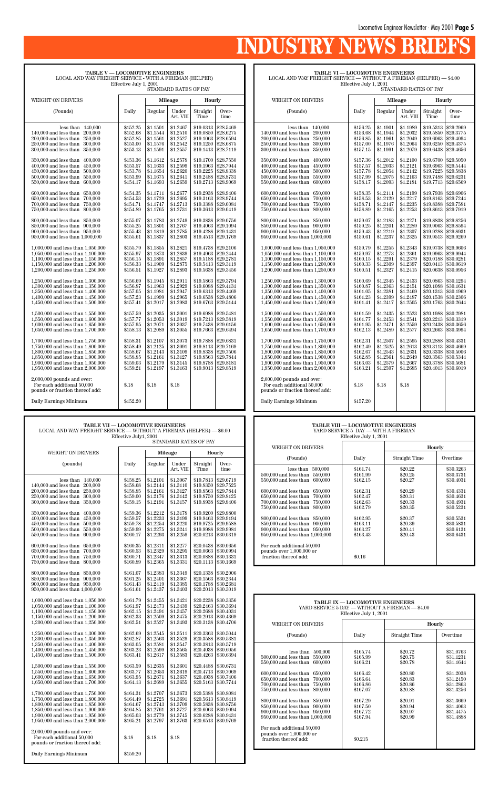# INDUSTRY NEWS BR

**TABLE V — LOCOMOTIVE ENGINEERS** LOCAL AND WAY FREIGHT SERVICE - WITH A FIREMAN (HELPER) Effective July 1, 2001 STANDARD RATES OF PAY WEIGHT ON DRIVERS **Mileage** | **Hourly** (Pounds) | Daily | Regular | Under | Straight | Over-Art. VIII | Time | time less than 140,000 <br>less than 200,000 <br>\$152.68 \$1.1544 \$1.2510 \$19.0850 \$28.6275 140,000 and less than 200,000 \$152.68 \$1.1544 \$1.2510 \$19.0850 \$28.6275<br>200,000 and less than 250,000 \$152.85 \$1.1561 \$1.2527 \$19.1063 \$28.6594 200,000 and less than 250,000 <br>250,000 and less than 300,000 <br>\$153.00 \$1.1576 \$1.2542 \$19.1250 \$28.6875  $250,000$  and less than  $300,000$ 300,000 and less than 350,000 <br>\$153.13 \ \$1.1591 \ \$1.2557 \ \$19.1413 \ \$28.7119 350,000 and less than 400,000 \$153.36 \$1.1612 \$1.2578 \$19.1700 \$28.7550 \$400,000 and less than 450,000 \$153.57 \$1.1633 \$1.2599 \$19.1963 \$28.7944 400,000 and less than 450,000 \$153.57 \$1.1633 \$1.2599 \$19.1963 \$28.7944<br>450,000 and less than 500,000 \$153.78 \$1.1654 \$1.2620 \$19.2225 \$28.8338  $\begin{array}{|l|l|l|l|l|}\n 450,000 & 500,000 & 5153.78 & 51.1654 & 51.2620 & 519.2225 & 528.8338 \\
 500.000 & and less than & 550.000 & 5153.99 & 51.1675 & 51.2641 & 519.2488 & 528.8731\n\end{array}$ 500,000 and less than 550,000 \$153.99 \$1.1675 \$1.2641 \$19.2488 \$28.8731<br>550,000 and less than 600,000 \$154.17 \$1.1693 \$1.2659 \$19.2713 \$28.9069 550,000 and less than  $600,000$  | \$154.17 | \$1.1693 | \$1.2659 600,000 and less than 650,000 \$154.35 \$1.1711 \$1.2677 \$19.2938 \$28.9406<br>650,000 and less than 700,000 \$154.53 \$1.1729 \$1.2695 \$19.3163 \$28.9744 650,000 and less than 700,000 <br>
700,000 and less than 750,000 <br>
8154.71 <br>
81.1747 <br>
81.2713 <br>
819.3388 <br>
829.0081 700,000 and less than 750,000  $\begin{array}{|l|l|l|l|l|} \hline 750,000 & 154.71 & 1.1747 & 1.2713 & 1.9388 & 1.2730 \\ \hline 750,000 & and less than & 800,000 & 1.1765 & 1.1765 & 1.2731 & 1.93613 & 1.289.0419 \\ \hline \end{array}$ 750,000 and less than 800,000 800,000 and less than 850,000 \$155.07 \$1.1783 \$1.2749 \$19.3838 \$29.0756<br>850,000 and less than 900,000 \$155.25 \$1.1801 \$1.2767 \$19.4063 \$29.1094 850,000 and less than 900,000 \$155.25 \$1.1801 \$1.2767 \$19.4063 \$29.1094<br>900,000 and less than 950,000 \$155.43 \$1.1819 \$1.2785 \$19.4288 \$29.1431 900,000 and less than 950,000 \$155.43 \$1.1819 \$1.2785 \$19.4288 \$29.1431<br>950,000 and less than 1,000,000 \$155.61 \$1.1837 \$1.2803 \$19.4513 \$29.1769  $950,000$  and less than  $1,000,000$ 1,000,000 and less than 1,050,000 <br>1,050,000 and less than 1,100,000 <br>\$155.97 \\$1.1873 \\$1.2839 \\$19.4963 \\$29.2444 1,050,000 and less than 1,100,000 \$155.97 \$1.1873 \$1.2839 \$19.4963 \$29.2444<br>1,100,000 and less than 1,150,000 \$156.15 \$1.1891 \$1.2857 \$19.5188 \$29.2781 1,100,000 and less than 1,150,000 \$156.15 \$1.1891 \$1.2857 \$19.5188 \$29.2781<br>1,150,000 and less than 1,200,000 \$156.33 \$1.1909 \$1.2875 \$19.5413 \$29.3119 1,150,000 and less than 1,200,000 \$156.33 \$1.1909 \$1.2875 \$19.5413 \$29.3119<br>1,200,000 and less than 1,250,000 \$156.51 \$1.1927 \$1.2893 \$19.5638 \$29.3456 1,200,000 and less than  $1,250,000$ 1,250,000 and less than 1,300,000 \$156.69 \$1.1945 \$1.2911 \$19.5863 \$29.3794<br>1,300,000 and less than 1,350,000 \$156.87 \$1.1963 \$1.2929 \$19.6088 \$29.4131 1,300,000 and less than 1,350,000 \$156.87 \$1.1963 \$1.2929 \$19.6088 \$29.4131<br>1,350,000 and less than 1,400,000 \$157.05 \$1.1981 \$1.2947 \$19.6313 \$29.4469  $1,350,000$  and less than  $1,400,000$  \$157.05 \$1.1981 \$1.2947 \$19.6313 \$29.4469<br>1,400,000 and less than 1,450,000 \$157.23 \$1.1999 \$1.2965 \$19.6538 \$29.4806  $1,400,000$  and less than  $1,450,000$  \$157.23 \$1.1999 \$1.2965 \$19.6538 \$29.4806<br>1,450,000 and less than  $1,500,000$  \$157.41 \$1.2017 \$1.2983 \$19.6763 \$29.5144  $1,450,000$  and less than  $1,500,000$ 1,500,000 and less than 1,550,000 \$157.59 \$1.2035 \$1.3001 \$19.6988 \$29.5481<br>1,550,000 and less than 1,600,000 \$157.77 \$1.2053 \$1.3019 \$19.7213 \$29.5819 1,550,000 and less than 1,600,000 \$157.77 \$1.2053 \$1.3019 \$19.7213 \$29.5819<br>1,600,000 and less than 1,650,000 \$157.95 \$1.2071 \$1.3037 \$19.7438 \$29.6156 1,600,000 and less than 1,650,000 \$157.95 \$1.2071 \$1.3037 \$19.7438 \$29.6156<br>1,650,000 and less than 1,700,000 \$158.13 \$1.2089 \$1.3055 \$19.7663 \$29.6494 1,650,000 and less than 1,700,000 1,700,000 and less than 1,750,000 \$158.31 \$1.2107 \$1.3073 \$19.7888 \$29.6831 1,750,000 and less than 1,800,000 \$158.49 \$1.2125 \$1.3091 \$19.8113 \$29.7169 1,750,000 and less than 1,800,000 \$158.49 \$1.2125 \$1.3091 \$19.8113 \$29.7169<br>1,800,000 and less than 1,850,000 \$158.67 \$1.2143 \$1.3109 \$19.8338 \$29.7506 1,800,000 and less than 1,850,000 \$158.67 \$1.2143 \$1.3109 \$19.8338 \$29.7506<br>1,850,000 and less than 1,900,000 \$158.85 \$1.2161 \$1.3127 \$19.8563 \$29.7844  $1,850,000$  and less than  $1,900,000$  \$158.85 \$1.2161 \$1.3127 \$19.8563 \$29.7844<br>1,900,000 and less than  $1,950,000$  \$159.03 \$1.2179 \$1.3145 \$19.8788 \$29.8181 1,900,000 and less than 1,950,000 \$159.03 \$1.2179 \$1.3145 \$19.8788 \$29.8181<br>1,950,000 and less than 2,000,000 \$159.21 \$1.2197 \$1.3163 \$19.9013 \$29.8519  $1,950,000$  and less than  $2,000,000$ 2,000,000 pounds and over: For each additional  $50,000$  \$.18 \$.18 \$.18 pounds or fraction thereof add: Daily Earnings Minimum \$152.20

#### **TABLE VI — LOCOMOTIVE ENGINEERS**

LOCAL AND WAY FREIGHT SERVICE — WITHOUT A FIREMAN (HELPER) — \$4.00

Effective July 1, 2001 STANDARD RATES OF PAY

| WEIGHT ON DRIVERS                 |          | Mileage  |           | Hourly    |           |
|-----------------------------------|----------|----------|-----------|-----------|-----------|
|                                   |          |          |           |           |           |
| (Pounds)                          | Daily    | Regular  | Under     | Straight  | Over-     |
|                                   |          |          | Art. VIII | Time      | time      |
| less than<br>140,000              | \$156.25 | \$1.1901 | \$1.1989  | \$19.5313 | \$29.2969 |
| 140,000 and less than<br>200,000  | \$156.68 | \$1.1944 | \$1.2032  | \$19.5850 | \$29.3775 |
| 200,000 and less than<br>250,000  | \$156.85 | \$1.1961 | \$1.2049  | \$19.6063 | \$29.4094 |
| 250,000 and less than<br>300,000  | \$157.00 | \$1.1976 | \$1.2064  | \$19.6250 | \$29.4375 |
| 300,000 and less than<br>350,000  | \$157.15 | \$1.1991 | \$1.2079  | \$19.6438 | \$29.4656 |
| 350,000 and less than<br>400,000  | \$157.36 | \$1.2012 | \$1.2100  | \$19.6700 | \$29.5050 |
| 400,000 and less than<br>450,000  | \$157.57 | \$1.2033 | \$1.2121  | \$19.6963 | \$29.5444 |
| 450,000 and less than<br>500,000  | \$157.78 | \$1.2054 | \$1.2142  | \$19.7225 | \$29.5838 |
| 500,000 and less than<br>550,000  | \$157.99 | \$1.2075 | \$1.2163  | \$19.7488 | \$29.6231 |
| 550,000 and less than<br>600,000  | \$158.17 | \$1.2093 | \$1.2181  | \$19.7713 | \$29.6569 |
| 600,000 and less than<br>650,000  | \$158.35 | \$1.2111 | \$1.2199  | \$19.7938 | \$29.6906 |
| 650,000 and less than<br>700,000  | \$158.53 | \$1.2129 | \$1.2217  | \$19.8163 | \$29.7244 |
| 700.000 and less than<br>750,000  | \$158.71 | \$1.2147 | \$1.2235  | \$19,8388 | \$29.7581 |
| 750,000 and less than<br>800,000  | \$158.89 | \$1.2165 | \$1.2253  | \$19.8613 | \$29.7919 |
| 800,000 and less than<br>850,000  | \$159.07 | \$1.2183 | \$1.2271  | \$19.8838 | \$29.8256 |
| 850,000 and less than<br>900,000  | \$159.25 | \$1.2201 | \$1.2289  | \$19.9063 | \$29.8594 |
| 900,000 and less than<br>950,000  | \$159.43 | \$1.2219 | \$1.2307  | \$19.9288 | \$29.8931 |
| 950,000 and less than 1,000,000   | \$159.61 | \$1.2237 | \$1.2325  | \$19.9513 | \$29.9269 |
| 1,000,000 and less than 1,050,000 | \$159.79 | \$1.2255 | \$1.2343  | \$19.9738 | \$29.9606 |
| 1,050,000 and less than 1,100,000 | \$159.97 | \$1.2273 | \$1.2361  | \$19.9963 | \$29.9944 |
| 1,100,000 and less than 1,150,000 | \$160.15 | \$1.2291 | \$1.2379  | \$20.0188 | \$30.0281 |
| 1,150,000 and less than 1,200,000 | \$160.33 | \$1.2309 | \$1.2397  | \$20.0413 | \$30.0619 |
| 1,200,000 and less than 1,250,000 | \$160.51 | \$1.2327 | \$1.2415  | \$20.0638 | \$30.0956 |
| 1,250,000 and less than 1,300,000 | \$160.69 | \$1.2345 | \$1.2433  | \$20.0863 | \$30.1294 |
| 1,300,000 and less than 1,350,000 | \$160.87 | \$1.2363 | \$1.2451  | \$20.1088 | \$30.1631 |
| 1,350,000 and less than 1,400,000 | \$161.05 | \$1.2381 | \$1.2469  | \$20.1313 | \$30.1969 |
| 1,400,000 and less than 1,450,000 | \$161.23 | \$1.2399 | \$1.2487  | \$20.1538 | \$30.2306 |
| 1,450,000 and less than 1,500,000 | \$161.41 | \$1.2417 | \$1.2505  | \$20.1763 | \$30.2644 |
| 1,500,000 and less than 1,550,000 | \$161.59 | \$1.2435 | \$1.2523  | \$20.1988 | \$30.2981 |
| 1.550,000 and less than 1.600,000 | \$161.77 | \$1.2453 | \$1.2541  | \$20.2213 | \$30.3319 |
| 1,600,000 and less than 1,650,000 | \$161.95 | \$1.2471 | \$1.2559  | \$20.2438 | \$30.3656 |
| 1,650,000 and less than 1,700,000 | \$162.13 | \$1.2489 | \$1.2577  | \$20.2663 | \$30.3994 |
| 1,700,000 and less than 1,750,000 | \$162.31 | \$1.2507 | \$1.2595  | \$20.2888 | \$30.4331 |
| 1,750,000 and less than 1,800,000 | \$162.49 | \$1.2525 | \$1.2613  | \$20.3113 | \$30.4669 |
| 1.800,000 and less than 1.850,000 | \$162.67 | \$1.2543 | \$1.2631  | \$20.3338 | \$30.5006 |
| 1,850,000 and less than 1,900,000 | \$162.85 | \$1.2561 | \$1.2649  | \$20.3563 | \$30.5344 |
| 1,900,000 and less than 1,950,000 | \$163.03 | \$1.2579 | \$1.2667  | \$20.3788 | \$30.5681 |
| 1,950,000 and less than 2,000,000 | \$163.21 | \$1.2597 | \$1.2685  | \$20.4013 | \$30.6019 |
| $2,000,000$ pounds and over:      |          |          |           |           |           |
| For each additional 50,000        | \$.18    | \$.18    | \$.18     |           |           |
| pounds or fraction thereof add:   |          |          |           |           |           |
| Daily Earnings Minimum            | \$157.20 |          |           |           |           |
|                                   |          |          |           |           |           |

**TABLE VII — LOCOMOTIVE ENGINEERS**

| ТАВЫЕ УП — БОСОЖО П УЕ ЕЛИЛЕЕВЭ<br>LOCAL AND WAY FREIGHT SERVICE — WITHOUT A FIREMAN (HELPER) — \$6.00<br>Effective July1, 2001<br>STANDARD RATES OF PAY          |                                                          |                                                          |                                                          |                                                               |                                                               |  |  |
|-------------------------------------------------------------------------------------------------------------------------------------------------------------------|----------------------------------------------------------|----------------------------------------------------------|----------------------------------------------------------|---------------------------------------------------------------|---------------------------------------------------------------|--|--|
| WEIGHT ON DRIVERS                                                                                                                                                 |                                                          |                                                          | Mileage                                                  |                                                               | Hourly                                                        |  |  |
| (pounds)                                                                                                                                                          | Daily                                                    | Regular                                                  | Under<br>Art. VIII                                       | Straight<br>Time                                              | Over-<br>time                                                 |  |  |
| less than 140,000<br>140,000 and less than<br>200,000<br>200,000 and less than<br>250,000<br>250,000 and less than<br>300,000<br>300.000 and less than<br>350,000 | \$158.25<br>\$158.68<br>\$158.85<br>\$159.00<br>\$159.15 | \$1.2101<br>\$1.2144<br>\$1.2161<br>\$1.2176<br>\$1.2191 | \$1.3067<br>\$1.3110<br>\$1.3127<br>\$1.3142<br>\$1.3157 | \$19.7813<br>\$19,8350<br>\$19,8563<br>\$19,8750<br>\$19.8938 | \$29.6719<br>\$29.7525<br>\$29.7844<br>\$29.8125<br>\$29,8406 |  |  |

350,000 and less than 400,000 \$159.36 \$1.2212 \$1.3178 \$19.9200 \$29.8800<br>400,000 and less than 450,000 \$159.57 \$1.2233 \$1.3199 \$19.9463 \$29.9194 400,000 and less than 450,000 \$159.57 \$1.2233 \$1.3199 \$19.9463 \$29.9194<br>450,000 and less than 500,000 \$159.78 \$1.2254 \$1.3220 \$19.9725 \$29.9588 450,000 and less than 500,000 \$159.78 \$1.2254 \$1.3220 \$19.9725 \$29.9588<br>500,000 and less than 550,000 \$159.99 \$1.2275 \$1.3241 \$19.9988 \$29.9981 500,000 and less than 550,000 \$159.99 \$1.2275 \$1.3241 \$19.9988 \$29.9981 \$50,000 and less than 600,000 \$160.17 \$1.2293 \$1.3259 \$20.0213 \$30.0319

 $\begin{array}{|l|l|l|l|l|} \hline 600,000\text{ and less than} & 650,000 & 8160.35 & 81.2311 & 81.3277 & 820.0438 & 830.0656 \\ \hline 650,000\text{ and less than} & 700,000 & 8160.71 & 81.2347 & 81.3213 & 820.0663 & 830.0994 \\ \hline \end{array}$ 650,000 and less than 700,000 \$160.53 \$1.2329 \$1.3295 \$20.0663 \$30.0994<br>700,000 and less than 750,000 \$160.71 \$1.2347 \$1.3313 \$20.0888 \$30.1331 700,000 and less than 750,000 \$160.71 \$1.2347 \$1.3313 \$20.0888 \$30.1331<br>750,000 and less than 800,000 \$160.89 \$1.2365 \$1.3331 \$20.1113 \$30.1669

800,000 and less than 850,000 <br>\$161.07 \ \$1.2383 \ \$1.3349 \ \$20.1338 \ \$30.2006

 $550,000$  and less than  $600,000$ 

 $750,000$  and less than  $800,000$ 

| 850,000 and less than 900,000<br>900,000 and less than 950,000<br>950,000 and less than 1,000,000                                                                                                                          | \$161.25<br>\$161.43<br>\$161.61                                     | \$1.2401<br>\$1.2419<br>\$1.2437                                     | \$1.3367<br>\$1.3385<br>\$1.3403                                     |                          | $$20.1563 \mid $30.2344$<br>$$20.1788$ \s30.2681<br>$$20.2013 \;   \; $30.3019$                                                          |                                                                                                                                                                     |                                                                  |                                                     |                                                               |
|----------------------------------------------------------------------------------------------------------------------------------------------------------------------------------------------------------------------------|----------------------------------------------------------------------|----------------------------------------------------------------------|----------------------------------------------------------------------|--------------------------|------------------------------------------------------------------------------------------------------------------------------------------|---------------------------------------------------------------------------------------------------------------------------------------------------------------------|------------------------------------------------------------------|-----------------------------------------------------|---------------------------------------------------------------|
| 1,000,000 and less than 1,050,000<br>1,050,000 and less than 1,100,000<br>1,100,000 and less than 1,150,000<br>1,150,000 and less than 1,200,000                                                                           | \$161.79<br>\$161.97<br>\$162.15<br>\$162.33                         | \$1.2455<br>\$1.2473<br>\$1.2491<br>\$1.2509                         | \$1.3421<br>\$1.3439<br>\$1.3457<br>\$1.3475                         |                          | $$20.2238 \;   \; $30.3356$<br>$$20.2463 \;   \; $30.3694$<br>\$20.2688 \$30.4031<br>$$20.2913 \;   \; $30.4369$                         |                                                                                                                                                                     | <b>TABLE IX - LOCOMOTIVE ENGINEERS</b><br>Effective July 1, 2001 | YARD SERVICE 5 DAY - WITHOUT A FIREMAN - \$4.00     |                                                               |
| 1,200,000 and less than 1,250,000                                                                                                                                                                                          | \$162.51                                                             | \$1.2527                                                             | \$1.3493                                                             |                          | $$20.3138 \mid $30.4706$                                                                                                                 | <b>WEIGHT ON DRIVERS</b>                                                                                                                                            |                                                                  |                                                     | Hourly                                                        |
| 1,250,000 and less than 1,300,000<br>1,300,000 and less than 1,350,000                                                                                                                                                     | \$162.69<br>\$162.87                                                 | \$1.2545<br>\$1.2563                                                 | \$1.3511<br>\$1.3529                                                 |                          | $$20.3363 \;   \; $30.5044$<br>$$20.3588 \;   \; $30.5381$                                                                               | (Pounds)                                                                                                                                                            | Daily                                                            | Straight Time                                       | Overtime                                                      |
| 1,350,000 and less than 1,400,000<br>1,400,000 and less than 1,450,000<br>1,450,000 and less than 1,500,000                                                                                                                | \$163.05<br>\$163.23<br>\$163.41                                     | \$1.2581<br>\$1.2599<br>\$1.2617                                     | \$1.3547<br>\$1.3565<br>\$1.3583                                     |                          | $$20.3813 \;   \; $30.5719$<br>$$20.4038 \; \; $30.6056$<br>\$20.4263   \$30.6394                                                        | less than 500,000<br>$500.000$ and less than<br>550,000                                                                                                             | \$165.74<br>\$165.99                                             | \$20.72<br>\$20.75                                  | \$31.0763<br>\$31.1231                                        |
| 1,500,000 and less than 1,550,000<br>1,550,000 and less than 1,600,000<br>1,600,000 and less than 1,650,000<br>1,650,000 and less than 1,700,000                                                                           | \$163.59<br>\$163.77<br>\$163.95<br>\$164.13                         | \$1.2635<br>\$1.2653<br>\$1.2671<br>\$1.2689                         | \$1.3601<br>\$1.3619<br>\$1.3637<br>\$1.3655                         |                          | \$20.4488 \$30.6731<br>$$20.4713 \;   \; $30.7069$<br>\$20.4938   \$30.7406<br>$$20.5163 \mid $30.7744$                                  | 550,000 and less than 600,000<br>600,000 and less than 650,000<br>650,000 and less than 700,000<br>700,000 and less than 750,000                                    | \$166.21<br>\$166.42<br>\$166.64<br>\$166.86                     | \$20.78<br>\$20.80<br>\$20.83<br>\$20.86            | \$31.1644<br>\$31.2038<br>\$31.2450<br>\$31.2863              |
| 1,700,000 and less than 1,750,000<br>1,750,000 and less than 1,800,000<br>1,800,000 and less than 1,850,000<br>1,850,000 and less than 1,900,000<br>1,900,000 and less than 1,950,000<br>1,950,000 and less than 2,000,000 | \$164.31<br>\$164.49<br>\$164.67<br>\$164.85<br>\$165.03<br>\$165.21 | \$1,2707<br>\$1,2725<br>\$1.2743<br>\$1,2761<br>\$1,2779<br>\$1,2797 | \$1.3673<br>\$1.3691<br>\$1.3709<br>\$1.3727<br>\$1.3745<br>\$1.3763 | $$20.6288 \mid $30.9431$ | \$20.5388 \$30.8081<br>$$20.5613 \mid $30.8419$<br>$$20.5838 \; \; $30.8756$<br>$$20.6063 \; \; $30.9094$<br>$$20.6513 \;   \; $30.9769$ | 750,000 and less than 800,000<br>800,000 and less than 850,000<br>850,000 and less than 900,000<br>900,000 and less than 950,000<br>950,000 and less than 1,000,000 | \$167.07<br>\$167.29<br>\$167.50<br>\$167.72<br>\$167.94         | \$20.88<br>\$20.91<br>\$20.94<br>\$20.97<br>\$20.99 | \$31.3256<br>\$31.3669<br>\$31.4063<br>\$31.4475<br>\$31.4888 |
| $2,000,000$ pounds and over:<br>For each additional 50,000<br>pounds or fraction thereof add:                                                                                                                              | \$.18                                                                | \$.18                                                                | \$.18                                                                |                          |                                                                                                                                          | For each additional 50,000<br>pounds over 1,000,000 or<br>fraction thereof add:                                                                                     | \$0.215                                                          |                                                     |                                                               |
| Daily Earnings Minimum                                                                                                                                                                                                     | \$159.20                                                             |                                                                      |                                                                      |                          |                                                                                                                                          |                                                                                                                                                                     |                                                                  |                                                     |                                                               |

#### **TABLE VIII — LOCOMOTIVE ENGINEERS** YARD SERVICE 5 DAY — WITH A FIREMAN Effective July 1, 2001

| WEIGHT ON DRIVERS                                                                                                                  |                                              |                                          | Hourly                                           |
|------------------------------------------------------------------------------------------------------------------------------------|----------------------------------------------|------------------------------------------|--------------------------------------------------|
| (Pounds)                                                                                                                           | Daily                                        | Straight Time                            | Overtime                                         |
| 500,000<br>less than<br>500,000 and less than 550,000<br>550,000 and less than 600,000<br>600,000 and less than 650,000            | \$161.74<br>\$161.99<br>\$162.15<br>\$162.31 | \$20.22<br>\$20.25<br>\$20.27<br>\$20.29 | \$30,3263<br>\$30.3731<br>\$30.4031<br>\$30.4331 |
| 650,000 and less than 700,000<br>700,000 and less than 750,000<br>750,000 and less than<br>800,000                                 | \$162.47<br>\$162.63<br>\$162.79             | \$20.31<br>\$20.33<br>\$20.35            | \$30.4631<br>\$30.4931<br>\$30.5231              |
| 800,000 and less than 850,000<br>850,000 and less than 900,000<br>900,000 and less than 950,000<br>950,000 and less than 1,000,000 | \$162.95<br>\$163.11<br>\$163.27<br>\$163.43 | \$20.37<br>\$20.39<br>\$20.41<br>\$20.43 | \$30.5531<br>\$30.5831<br>\$30.6131<br>\$30.6431 |
| For each additional 50,000<br>pounds over 1,000,000 or<br>fraction thereof add:                                                    | \$0.16                                       |                                          |                                                  |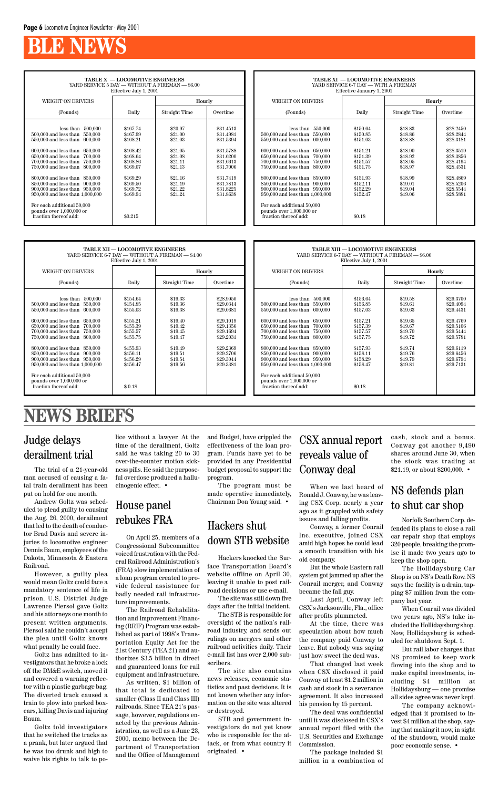# **BLE NEWS**

**TABLE X — LOCOMOTIVE ENGINEERS** YARD SERVICE 5 DAY — WITHOUT A FIREMAN — \$6.00 Effective July 1, 2001

| WEIGHT ON DRIVERS                                                                                                                                                                                                                                                                                                                                                                                                                                                        |                                                                                                                                             | Hourly                                                                                                                |                                                                                                                                             |
|--------------------------------------------------------------------------------------------------------------------------------------------------------------------------------------------------------------------------------------------------------------------------------------------------------------------------------------------------------------------------------------------------------------------------------------------------------------------------|---------------------------------------------------------------------------------------------------------------------------------------------|-----------------------------------------------------------------------------------------------------------------------|---------------------------------------------------------------------------------------------------------------------------------------------|
| (Pounds)                                                                                                                                                                                                                                                                                                                                                                                                                                                                 | Daily                                                                                                                                       | Straight Time                                                                                                         | Overtime                                                                                                                                    |
| 500,000<br>less than<br>500,000 and less than<br>550,000<br>550,000 and less than<br>600,000<br>600,000 and less than<br>650,000<br>650,000 and less than<br>700,000<br>700,000 and less than<br>750,000<br>750,000 and less than<br>800,000<br>800,000 and less than 850,000<br>850,000 and less than<br>900,000<br>900,000 and less than 950,000<br>950,000 and less than 1,000,000<br>For each additional 50,000<br>pounds over 1,000,000 or<br>fraction thereof add: | \$167.74<br>\$167.99<br>\$168.21<br>\$168.42<br>\$168.64<br>\$168.86<br>\$169.07<br>\$169.29<br>\$169.50<br>\$169.72<br>\$169.94<br>\$0.215 | \$20.97<br>\$21.00<br>\$21.03<br>\$21.05<br>\$21.08<br>\$21.11<br>\$21.13<br>\$21.16<br>\$21.19<br>\$21.22<br>\$21.24 | \$31.4513<br>\$31.4981<br>\$31.5394<br>\$31.5788<br>\$31.6200<br>\$31.6613<br>\$31.7006<br>\$31.7419<br>\$31.7813<br>\$31.8225<br>\$31.8638 |

| <b>TABLE XI - LOCOMOTIVE ENGINEERS</b><br>YARD SERVICE 6-7 DAY - WITH A FIREMAN<br>Effective January 1, 2001                                                                                                                                                                                                                                                                                                                                                             |                                                                                                                                            |                                                                                                                       |                                                                                                                                             |  |  |  |  |  |
|--------------------------------------------------------------------------------------------------------------------------------------------------------------------------------------------------------------------------------------------------------------------------------------------------------------------------------------------------------------------------------------------------------------------------------------------------------------------------|--------------------------------------------------------------------------------------------------------------------------------------------|-----------------------------------------------------------------------------------------------------------------------|---------------------------------------------------------------------------------------------------------------------------------------------|--|--|--|--|--|
| <b>WEIGHT ON DRIVERS</b>                                                                                                                                                                                                                                                                                                                                                                                                                                                 |                                                                                                                                            | Hourly                                                                                                                |                                                                                                                                             |  |  |  |  |  |
| (Pounds)                                                                                                                                                                                                                                                                                                                                                                                                                                                                 | Daily                                                                                                                                      | Straight Time                                                                                                         | Overtime                                                                                                                                    |  |  |  |  |  |
| 550,000<br>less than<br>550,000<br>500,000 and less than<br>550,000 and less than<br>600,000<br>600,000 and less than<br>650,000<br>650,000 and less than<br>700,000<br>700,000 and less than<br>750,000<br>800,000<br>750,000 and less than<br>800,000 and less than 850,000<br>850,000 and less than<br>900,000<br>900,000 and less than 950,000<br>950,000 and less than 1,000,000<br>For each additional 50,000<br>pounds over 1,000,000 or<br>fraction thereof add: | \$150.64<br>\$150.85<br>\$151.03<br>\$151.21<br>\$151.39<br>\$151.57<br>\$151.75<br>\$151.93<br>\$152.11<br>\$152.29<br>\$152.47<br>\$0.18 | \$18.83<br>\$18.86<br>\$18.88<br>\$18.90<br>\$18.92<br>\$18.95<br>\$18.97<br>\$18.99<br>\$19.01<br>\$19.04<br>\$19.06 | \$28.2450<br>\$28.2844<br>\$28.3181<br>\$28.3519<br>\$28.3856<br>\$28.4194<br>\$28.4531<br>\$28.4869<br>\$28.5206<br>\$28.5544<br>\$28.5881 |  |  |  |  |  |

|                                                                                                                                                                                                                                                                                                                                                                                                                                                         | TABLE XII - LOCOMOTIVE ENGINEERS<br>Effective July 1, 2001                                                                                 | YARD SERVICE 6-7 DAY - WITHOUT A FIREMAN - \$4.00                                                                     |                                                                                                                                             |                                                                                                                                                                                                                                                                                                                                                                                                                                                       | <b>TABLE XIII - LOCOMOTIVE ENGINEERS</b><br>Effective July 1, 2001                                                                         | YARD SERVICE 6-7 DAY — WITHOUT A FIREMAN — \$6.00                                                                     |                                                                                                                                             |
|---------------------------------------------------------------------------------------------------------------------------------------------------------------------------------------------------------------------------------------------------------------------------------------------------------------------------------------------------------------------------------------------------------------------------------------------------------|--------------------------------------------------------------------------------------------------------------------------------------------|-----------------------------------------------------------------------------------------------------------------------|---------------------------------------------------------------------------------------------------------------------------------------------|-------------------------------------------------------------------------------------------------------------------------------------------------------------------------------------------------------------------------------------------------------------------------------------------------------------------------------------------------------------------------------------------------------------------------------------------------------|--------------------------------------------------------------------------------------------------------------------------------------------|-----------------------------------------------------------------------------------------------------------------------|---------------------------------------------------------------------------------------------------------------------------------------------|
| WEIGHT ON DRIVERS                                                                                                                                                                                                                                                                                                                                                                                                                                       |                                                                                                                                            |                                                                                                                       | Hourly                                                                                                                                      | WEIGHT ON DRIVERS                                                                                                                                                                                                                                                                                                                                                                                                                                     |                                                                                                                                            |                                                                                                                       | Hourly                                                                                                                                      |
| (Pounds)                                                                                                                                                                                                                                                                                                                                                                                                                                                | Daily                                                                                                                                      | Straight Time                                                                                                         | Overtime                                                                                                                                    | (Pounds)                                                                                                                                                                                                                                                                                                                                                                                                                                              | Daily                                                                                                                                      | Straight Time                                                                                                         | Overtime                                                                                                                                    |
| less than $500,000$<br>500,000 and less than 550,000<br>550,000 and less than 600,000<br>600,000 and less than 650,000<br>700,000<br>650,000 and less than<br>700,000 and less than 750,000<br>750,000 and less than 800,000<br>800,000 and less than 850,000<br>850,000 and less than 900,000<br>900,000 and less than 950,000<br>950,000 and less than 1,000,000<br>For each additional 50,000<br>pounds over $1,000,000$ or<br>fraction thereof add: | \$154.64<br>\$154.85<br>\$155.03<br>\$155.21<br>\$155.39<br>\$155.57<br>\$155.75<br>\$155.93<br>\$156.11<br>\$156.29<br>\$156.47<br>\$0.18 | \$19.33<br>\$19.36<br>\$19.38<br>\$19.40<br>\$19.42<br>\$19.45<br>\$19.47<br>\$19.49<br>\$19.51<br>\$19.54<br>\$19.56 | \$28.9950<br>\$29.0344<br>\$29.0681<br>\$29.1019<br>\$29.1356<br>\$29.1694<br>\$29.2031<br>\$29.2369<br>\$29.2706<br>\$29.3044<br>\$29.3381 | less than 500,000<br>500,000 and less than 550,000<br>550,000 and less than 600,000<br>600,000 and less than 650,000<br>650,000 and less than<br>700.000<br>700,000 and less than 750,000<br>750,000 and less than 800,000<br>800,000 and less than 850,000<br>850,000 and less than 900,000<br>900,000 and less than 950,000<br>950,000 and less than 1,000,000<br>For each additional 50,000<br>pounds over $1,000,000$ or<br>fraction thereof add: | \$156.64<br>\$156.85<br>\$157.03<br>\$157.21<br>\$157.39<br>\$157.57<br>\$157.75<br>\$157.93<br>\$158.11<br>\$158.29<br>\$158.47<br>\$0.18 | \$19.58<br>\$19.61<br>\$19.63<br>\$19.65<br>\$19.67<br>\$19.70<br>\$19.72<br>\$19.74<br>\$19.76<br>\$19.79<br>\$19.81 | \$29.3700<br>\$29.4094<br>\$29.4431<br>\$29.4769<br>\$29.5106<br>\$29.5444<br>\$29.5781<br>\$29.6119<br>\$29.6456<br>\$29.6794<br>\$29.7131 |

#### Judge delays derailment trial

## **NEWS BRIEFS**

The trial of a 21-year-old man accused of causing a fatal train derailment has been put on hold for one month.

Andrew Goltz was scheduled to plead guilty to causing the Aug. 26, 2000, derailment that led to the death of conductor Brad Davis and severe injuries to locomotive engineer Dennis Baum, employees of the Dakota, Minnesota & Eastern Railroad.

However, a guilty plea would mean Goltz could face a mandatory sentence of life in prison. U.S. District Judge Lawrence Piersol gave Goltz and his attorneys one month to present written arguments. Piersol said he couldn't accept the plea until Goltz knows what penalty he could face. Goltz has admitted to investigators that he broke a lock off the DM&E switch, moved it and covered a warning reflector with a plastic garbage bag. The diverted track caused a train to plow into parked boxcars, killing Davis and injuring Baum. Goltz told investigators that he switched the tracks as a prank, but later argued that he was too drunk and high to waive his rights to talk to police without a lawyer. At the time of the derailment, Goltz said he was taking 20 to 30 over-the-counter motion sickness pills. He said the purposeful overdose produced a hallucinogenic effect. •

#### Hackers shut down STB website

Hackers knocked the Surface Transportation Board's website offline on April 30, leaving it unable to post railroad decisions or use e-mail. The site was still down five days after the initial incident.

The STB is responsible for oversight of the nation's railroad industry, and sends out rulings on mergers and other railroad activities daily. Their e-mail list has over 2,000 subscribers.

The site also contains news releases, economic statistics and past decisions. It is not known whether any information on the site was altered or destroyed.

STB and government investigators do not yet know who is responsible for the attack, or from what country it originated. •

On April 25, members of a Congressional Subcommittee voiced frustration with the Federal Railroad Administration's (FRA) slow implementation of a loan program created to provide federal assistance for badly needed rail infrastructure improvements. The Railroad Rehabilitation and Improvement Financing (RRIF) Program was established as part of 1998's Transportation Equity Act for the 21st Century (TEA 21) and authorizes \$3.5 billion in direct and guaranteed loans for rail equipment and infrastructure. As written, \$1 billion of that total is dedicated to smaller (Class II and Class III) railroads. Since TEA 21's passage, however, regulations enacted by the previous Administration, as well as a June 23, 2000, memo between the Department of Transportation and the Office of Management

### House panel rebukes FRA

and Budget, have crippled the effectiveness of the loan program. Funds have yet to be provided in any Presidential budget proposal to support the program.

The program must be made operative immediately, Chairman Don Young said. •

When we last heard of Ronald J. Conway, he was leaving CSX Corp. nearly a year ago as it grappled with safety issues and falling profits.

Conway, a former Conrail Inc. executive, joined CSX amid high hopes he could lead a smooth transition with his old company.

But the whole Eastern rail system got jammed up after the

Conrail merger, and Conway became the fall guy.

Last April, Conway left CSX's Jacksonville, Fla., office after profits plummeted.

At the time, there was speculation about how much the company paid Conway to leave. But nobody was saying just how sweet the deal was.

That changed last week when CSX disclosed it paid Conway at least \$1.2 million in cash and stock in a severance agreement. It also increased his pension by 15 percent.

The deal was confidential until it was disclosed in CSX's annual report filed with the U.S. Securities and Exchange Commission.

The package included \$1 million in a combination of

#### CSX annual report reveals value of Conway deal

cash, stock and a bonus. Conway got another 9,490 shares around June 30, when the stock was trading at \$21.19, or about \$200,000. •

Norfolk Southern Corp. defended its plans to close a rail car repair shop that employs 320 people, breaking the promise it made two years ago to keep the shop open.

The Hollidaysburg Car Shop is on NS's Death Row. NS says the facility is a drain, tapping \$7 million from the company last year. When Conrail was divided two years ago, NS's take included the Hollidaysburg shop. Now, Hollidaysburg is scheduled for shutdown Sept. 1. But rail labor charges that NS promised to keep work flowing into the shop and to make capital investments, including \$4 million at Hollidaysburg — one promise all sides agree was never kept. The company acknowledged that it promised to invest \$4 million at the shop, saying that making it now, in sight of the shutdown, would make poor economic sense. •

#### NS defends plan to shut car shop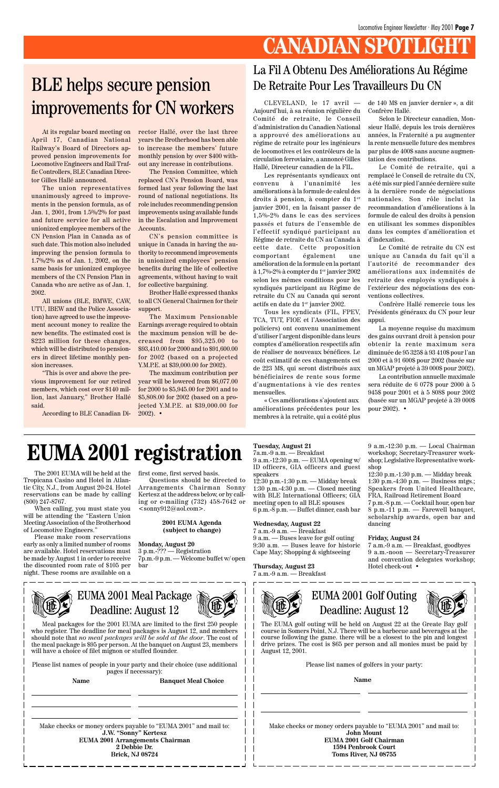# **CANADIAN SPOTLIGHT**

At its regular board meeting on April 17, Canadian National Railway's Board of Directors approved pension improvements for Locomotive Engineers and Rail Traffic Controllers, BLE Canadian Director Gilles Hallé announced.

The union representatives unanimously agreed to improvements in the pension formula, as of Jan. 1, 2001, from 1.5%/2% for past and future service for all active unionized employee members of the CN Pension Plan in Canada as of such date. This motion also included improving the pension formula to 1.7%/2% as of Jan. 1, 2002, on the same basis for unionized employee members of the CN Pension Plan in Canada who are active as of Jan. 1, 2002.

All unions (BLE, BMWE, CAW, UTU, IBEW and the Police Association) have agreed to use the improvement account money to realize the new benefits. The estimated cost is \$223 million for these changes, which will be distributed to pensioners in direct lifetime monthly pension increases.

"This is over and above the previous improvement for our retired members, which cost over \$140 million, last January," Brother Hallé said.

According to BLE Canadian Di-

CLEVELAND, le 17 avril — Aujourd'hui, à sa réunion régulière du Comité de retraite, le Conseil d'administration du Canadien National a approuvé des améliorations au régime de retraite pour les ingénieurs de locomotives et les contrôleurs de la circulation ferroviaire, a annoncé Gilles Hallé, Directeur canadien de la FIL.

Les représentants syndicaux ont convenu à l'unanimité les améliorations à la formule de calcul des droits à pension, à compter du 1er janvier 2001, en la faisant passer de 1,5%-2% dans le cas des services passés et futurs de l'ensemble de l'effectif syndiqué participant au Régime de retraite du CN au Canada à cette date. Cette proposition comportant également une amélioration de la formule en la portant à 1,7%-2% à compter du 1er janvier 2002 selon les mêmes conditions pour les syndiqués participant au Régime de retraite du CN au Canada qui seront actifs en date du 1er janvier 2002.

Tous les syndicats (FIL, FPEV, TCA, TUT, FIOE et l'Association des policiers) ont convenu unanimement d'utiliser l'argent disponible dans leurs comptes d'amélioration respectifs afin de réaliser de nouveaux bénéfices. Le coût estimatif de ces changements est de 223 M\$, qui seront distribués aux bénéficiaires de rente sous forme d'augmentations à vie des rentes mensuelles.

The maximum contribution per year will be lowered from \$6,077.00 for 2000 to \$5,945.00 for 2001 and to \$5,808.00 for 2002 (based on a projected Y.M.P.E. at \$39,000.00 for  $2002$ ).  $\bullet$ 

«␣ Ces améliorations s'ajoutent aux améliorations précédentes pour les membres à la retraite, qui a coûté plus de 140 M\$ en janvier dernier␣ », a dit Confrère Hallé.

Selon le Directeur canadien, Monsieur Hallé, depuis les trois dernières années, la Fraternité a pu augmenter la rente mensuelle future des membres par plus de 400\$ sans aucune augmentation des contributions.

Meal packages for the 2001 EUMA are limited to the first 250 people who register. The deadline for meal packages is August 12, and members should note that *no meal packages will be sold at the door*. The cost of the meal package is \$95 per person. At the banquet on August 23, members will have a choice of filet mignon or stuffed flounder.

Le Comité de retraite, qui a remplacé le Conseil de retraite du CN, a été mis sur pied l'année dernière suite à la dernière ronde de négociations nationales. Son rôle inclut la recommandation d'améliorations à la formule de calcul des droits à pension en utilisant les sommes disponibles dans les comptes d'amélioration et d'indexation.

Questions should be directed to Arrangements Chairman Sonny Kertesz at the address below, or by calling or e-mailing (732) 458-7642 or  $\le$ sonny $912@$ aol.com>.

Le Comité de retraite du CN est unique au Canada du fait qu'il a l'autorité de recommander des améliorations aux indemnités de retraite des employés syndiqués à l'extérieur des négociations des conventions collectives.

Confrère Hallé remercie tous les Présidents généraux du CN pour leur appui.

La moyenne requise du maximum des gains ouvrant droit à pension pour obtenir la rente maximum sera diminuée de 95 325\$ à 93 410\$ pour l'an 2000 et à 91 600\$ pour 2002 (basée sur un MGAP projeté à 39 000\$ pour 2002).

La contribution annuelle maximale sera réduite de 6 077\$ pour 2000 à 5 945\$ pour 2001 et à 5 808\$ pour 2002 (basée sur un MGAP projeté à 39 000\$ pour 2002). •

#### La Fil A Obtenu Des Améliorations Au Régime De Retraite Pour Les Travailleurs Du CN

rector Hallé, over the last three years the Brotherhood has been able to increase the members' future monthly pension by over \$400 without any increase in contributions.

The Pension Committee, which replaced CN's Pension Board, was formed last year following the last round of national negotiations. Its role includes recommending pension improvements using available funds in the Escalation and Improvement Accounts.

CN's pension committee is unique in Canada in having the authority to recommend improvements in unionized employees' pension benefits during the life of collective agreements, without having to wait for collective bargaining.

Brother Hallé expressed thanks to all CN General Chairmen for their support.

The Maximum Pensionable Earnings average required to obtain the maximum pension will be decreased from \$95,325.00 to \$93,410.00 for 2000 and to \$91,600.00 for 2002 (based on a projected Y.M.P.E. at \$39,000.00 for 2002).

# BLE helps secure pension improvements for CN workers

# **EUMA 2001 registration**

The 2001 EUMA will be held at the Tropicana Casino and Hotel in Atlantic City, N.J., from August 20-24. Hotel reservations can be made by calling (800) 247-8767.

When calling, you must state you will be attending the "Eastern Union Meeting Association of the Brotherhood of Locomotive Engineers."

Please make room reservations early as only a limited number of rooms are available. Hotel reservations must be made by August 1 in order to receive the discounted room rate of \$105 per night. These rooms are available on a

#### EUMA 2001 Meal Package Deadline: August 12



Please list names of people in your party and their choice (use additional pages if necessary):

Name Banquet Meal Choice

first come, first served basis.

#### **2001 EUMA Agenda (subject to change)**

**Monday, August 20**

3 p.m.-??? — Registration 7p.m.-9 p.m. — Welcome buffet w/ open bar

Make checks or money orders payable to "EUMA 2001" and mail to: **J.W. "Sonny" Kertesz EUMA 2001 Arrangements Chairman 2 Debbie Dr. Brick, NJ 08724**



#### EUMA 2001 Golf Outing Deadline: August 12



The EUMA golf outing will be held on August 22 at the Greate Bay golf course in Somers Point, N.J. There will be a barbecue and beverages at the course following the game. there will be a closest to the pin and longest drive prizes. The cost is \$65 per person and all monies must be paid by August 12, 2001.

Please list names of golfers in your party:

**Name**

Make checks or money orders payable to "EUMA 2001" and mail to: **John Mount EUMA 2001 Golf Chairman 1594 Penbrook Court Toms River, NJ 08755**

#### **Tuesday, August 21**

7a.m.-9 a.m. — Breakfast

9 a.m.-12:30 p.m. — EUMA opening w/ ID officers, GIA officers and guest speakers

12:30 p.m.-1:30 p.m. — Midday break 1:30 p.m.-4:30 p.m. — Closed meeting with BLE International Officers; GIA meeting open to all BLE spouses 6 p.m.-8 p.m. — Buffet dinner, cash bar

#### **Wednesday, August 22**

7 a.m.-9 a.m. — Breakfast 9 a.m. — Buses leave for golf outing 9:30 a.m. — Buses leave for historic Cape May; Shopping & sightseeing

#### **Thursday, August 23**

7 a.m.-9 a.m. — Breakfast

9 a.m.-12:30 p.m. — Local Chairman workshop; Secretary-Treasurer workshop; Legislative Representative workshop

12:30 p.m.-1:30 p.m. — Midday break 1:30 p.m.-4:30 p.m. — Business mtgs.; Speakers from United Healthcare, FRA, Railroad Retirement Board 7 p.m.-8 p.m. — Cocktail hour, open bar

8 p.m.-11 p.m. — Farewell banquet, scholarship awards, open bar and dancing

#### **Friday, August 24**

7 a.m.-9 a.m. — Breakfast, goodbyes 9 a.m.-noon — Secretary-Treasurer and convention delegates workshop; Hotel check-out •